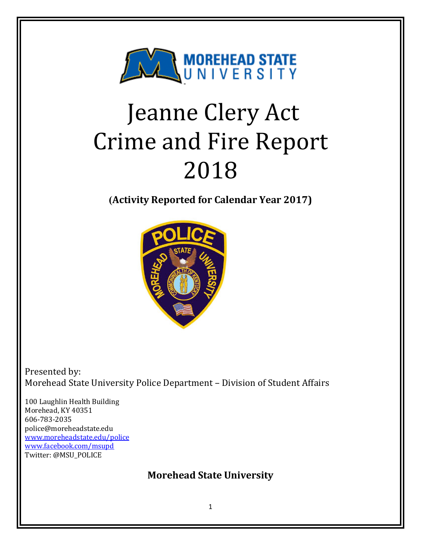

# Jeanne Clery Act Crime and Fire Report 2018

**(Activity Reported for Calendar Year 2017)**



Presented by: Morehead State University Police Department - Division of Student Affairs

100 Laughlin Health Building Morehead, KY 40351 606-783-2035 police@moreheadstate.edu www.moreheadstate.edu/police www.facebook.com/msupd Twitter: @MSU\_POLICE

# **Morehead State University**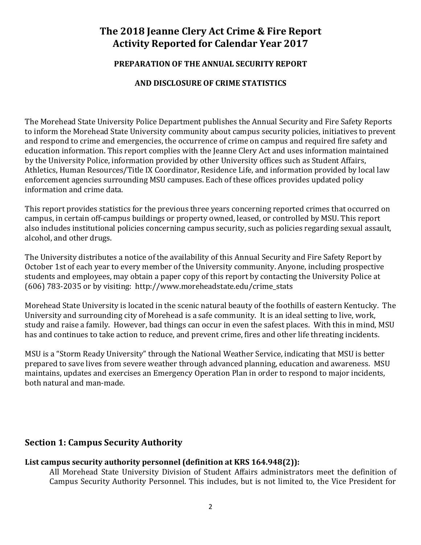# The 2018 **Jeanne Clery Act Crime & Fire Report Activity Reported for Calendar Year 2017**

#### **PREPARATION OF THE ANNUAL SECURITY REPORT**

#### **AND DISCLOSURE OF CRIME STATISTICS**

The Morehead State University Police Department publishes the Annual Security and Fire Safety Reports to inform the Morehead State University community about campus security policies, initiatives to prevent and respond to crime and emergencies, the occurrence of crime on campus and required fire safety and education information. This report complies with the Jeanne Clery Act and uses information maintained by the University Police, information provided by other University offices such as Student Affairs, Athletics, Human Resources/Title IX Coordinator, Residence Life, and information provided by local law enforcement agencies surrounding MSU campuses. Each of these offices provides updated policy information and crime data.

This report provides statistics for the previous three years concerning reported crimes that occurred on campus, in certain off-campus buildings or property owned, leased, or controlled by MSU. This report also includes institutional policies concerning campus security, such as policies regarding sexual assault, alcohol, and other drugs.

The University distributes a notice of the availability of this Annual Security and Fire Safety Report by October 1st of each year to every member of the University community. Anyone, including prospective students and employees, may obtain a paper copy of this report by contacting the University Police at (606)  $783-2035$  or by visiting: http://www.moreheadstate.edu/crime\_stats

Morehead State University is located in the scenic natural beauty of the foothills of eastern Kentucky. The University and surrounding city of Morehead is a safe community. It is an ideal setting to live, work, study and raise a family. However, bad things can occur in even the safest places. With this in mind, MSU has and continues to take action to reduce, and prevent crime, fires and other life threating incidents.

MSU is a "Storm Ready University" through the National Weather Service, indicating that MSU is better prepared to save lives from severe weather through advanced planning, education and awareness. MSU maintains, updates and exercises an Emergency Operation Plan in order to respond to major incidents, both natural and man-made.

## **Section 1: Campus Security Authority**

#### List campus security authority personnel (definition at KRS 164.948(2)):

All Morehead State University Division of Student Affairs administrators meet the definition of Campus Security Authority Personnel. This includes, but is not limited to, the Vice President for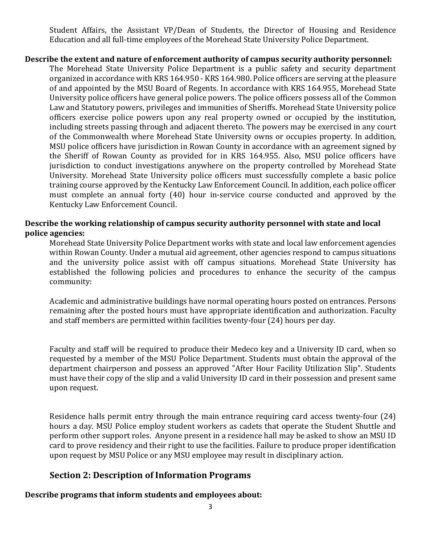Student Affairs, the Assistant VP/Dean of Students, the Director of Housing and Residence Education and all full-time employees of the Morehead State University Police Department.

#### **Describe the extent and nature of enforcement authority of campus security authority personnel:**

The Morehead State University Police Department is a public safety and security department organized in accordance with KRS 164.950 - KRS 164.980. Police officers are serving at the pleasure of and appointed by the MSU Board of Regents. In accordance with KRS 164.955, Morehead State University police officers have general police powers. The police officers possess all of the Common Law and Statutory powers, privileges and immunities of Sheriffs. Morehead State University police officers exercise police powers upon any real property owned or occupied by the institution, including streets passing through and adjacent thereto. The powers may be exercised in any court of the Commonwealth where Morehead State University owns or occupies property. In addition, MSU police officers have jurisdiction in Rowan County in accordance with an agreement signed by the Sheriff of Rowan County as provided for in KRS 164.955. Also, MSU police officers have jurisdiction to conduct investigations anywhere on the property controlled by Morehead State University. Morehead State University police officers must successfully complete a basic police training course approved by the Kentucky Law Enforcement Council. In addition, each police officer must complete an annual forty (40) hour in-service course conducted and approved by the Kentucky Law Enforcement Council.

#### Describe the working relationship of campus security authority personnel with state and local **police agencies:**

Morehead State University Police Department works with state and local law enforcement agencies within Rowan County. Under a mutual aid agreement, other agencies respond to campus situations and the university police assist with off campus situations. Morehead State University has established the following policies and procedures to enhance the security of the campus community:

Academic and administrative buildings have normal operating hours posted on entrances. Persons remaining after the posted hours must have appropriate identification and authorization. Faculty and staff members are permitted within facilities twenty-four (24) hours per day.

Faculty and staff will be required to produce their Medeco key and a University ID card, when so requested by a member of the MSU Police Department. Students must obtain the approval of the department chairperson and possess an approved "After Hour Facility Utilization Slip". Students must have their copy of the slip and a valid University ID card in their possession and present same upon request. 

Residence halls permit entry through the main entrance requiring card access twenty-four (24) hours a day. MSU Police employ student workers as cadets that operate the Student Shuttle and perform other support roles. Anyone present in a residence hall may be asked to show an MSU ID card to prove residency and their right to use the facilities. Failure to produce proper identification upon request by MSU Police or any MSU employee may result in disciplinary action.

#### **Section 2: Description of Information Programs**

#### Describe programs that inform students and employees about: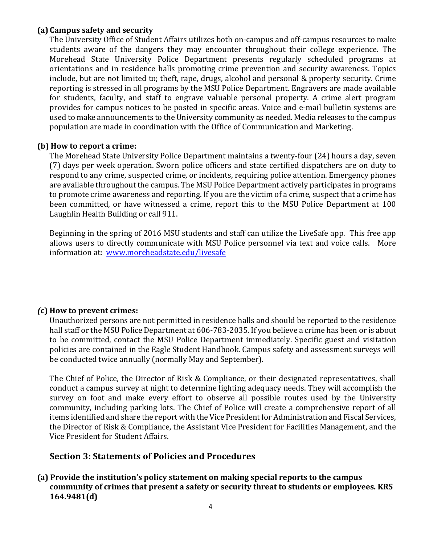#### **(a) Campus safety and security**

The University Office of Student Affairs utilizes both on-campus and off-campus resources to make students aware of the dangers they may encounter throughout their college experience. The Morehead State University Police Department presents regularly scheduled programs at orientations and in residence halls promoting crime prevention and security awareness. Topics include, but are not limited to; theft, rape, drugs, alcohol and personal & property security. Crime reporting is stressed in all programs by the MSU Police Department. Engravers are made available for students, faculty, and staff to engrave valuable personal property. A crime alert program provides for campus notices to be posted in specific areas. Voice and e-mail bulletin systems are used to make announcements to the University community as needed. Media releases to the campus population are made in coordination with the Office of Communication and Marketing.

#### **(b)** How to report a crime:

The Morehead State University Police Department maintains a twenty-four (24) hours a day, seven (7) days per week operation. Sworn police officers and state certified dispatchers are on duty to respond to any crime, suspected crime, or incidents, requiring police attention. Emergency phones are available throughout the campus. The MSU Police Department actively participates in programs to promote crime awareness and reporting. If you are the victim of a crime, suspect that a crime has been committed, or have witnessed a crime, report this to the MSU Police Department at 100 Laughlin Health Building or call 911.

Beginning in the spring of 2016 MSU students and staff can utilize the LiveSafe app. This free app allows users to directly communicate with MSU Police personnel via text and voice calls. More information at: www.moreheadstate.edu/livesafe

#### *(***c) How to prevent crimes:**

Unauthorized persons are not permitted in residence halls and should be reported to the residence hall staff or the MSU Police Department at 606-783-2035. If you believe a crime has been or is about to be committed, contact the MSU Police Department immediately. Specific guest and visitation policies are contained in the Eagle Student Handbook. Campus safety and assessment surveys will be conducted twice annually (normally May and September).

The Chief of Police, the Director of Risk & Compliance, or their designated representatives, shall conduct a campus survey at night to determine lighting adequacy needs. They will accomplish the survey on foot and make every effort to observe all possible routes used by the University community, including parking lots. The Chief of Police will create a comprehensive report of all items identified and share the report with the Vice President for Administration and Fiscal Services, the Director of Risk & Compliance, the Assistant Vice President for Facilities Management, and the Vice President for Student Affairs.

#### **Section 3: Statements of Policies and Procedures**

**(a)** Provide the institution's policy statement on making special reports to the campus community of crimes that present a safety or security threat to students or employees. KRS **164.9481(d)**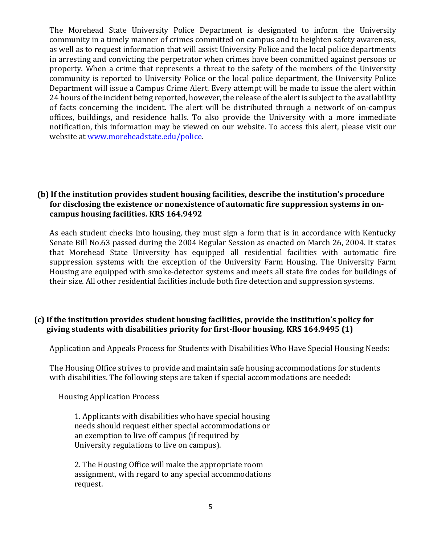The Morehead State University Police Department is designated to inform the University community in a timely manner of crimes committed on campus and to heighten safety awareness, as well as to request information that will assist University Police and the local police departments in arresting and convicting the perpetrator when crimes have been committed against persons or property. When a crime that represents a threat to the safety of the members of the University community is reported to University Police or the local police department, the University Police Department will issue a Campus Crime Alert. Every attempt will be made to issue the alert within 24 hours of the incident being reported, however, the release of the alert is subject to the availability of facts concerning the incident. The alert will be distributed through a network of on-campus offices, buildings, and residence halls. To also provide the University with a more immediate notification, this information may be viewed on our website. To access this alert, please visit our website at www.moreheadstate.edu/police.

#### **(b)** If the institution provides student housing facilities, describe the institution's procedure for disclosing the existence or nonexistence of automatic fire suppression systems in oncampus housing facilities. KRS 164.9492

As each student checks into housing, they must sign a form that is in accordance with Kentucky Senate Bill No.63 passed during the 2004 Regular Session as enacted on March 26, 2004. It states that Morehead State University has equipped all residential facilities with automatic fire suppression systems with the exception of the University Farm Housing. The University Farm Housing are equipped with smoke-detector systems and meets all state fire codes for buildings of their size. All other residential facilities include both fire detection and suppression systems.

#### **(c)** If the institution provides student housing facilities, provide the institution's policy for giving students with disabilities priority for first-floor housing. KRS 164.9495 (1)

Application and Appeals Process for Students with Disabilities Who Have Special Housing Needs:

The Housing Office strives to provide and maintain safe housing accommodations for students with disabilities. The following steps are taken if special accommodations are needed:

 Housing Application Process

1. Applicants with disabilities who have special housing needs should request either special accommodations or an exemption to live off campus (if required by University regulations to live on campus).

2. The Housing Office will make the appropriate room assignment, with regard to any special accommodations request.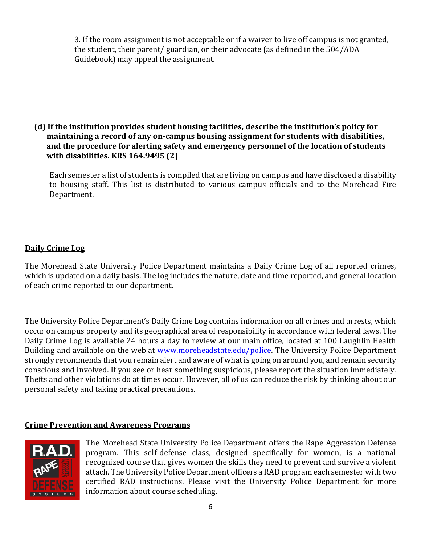3. If the room assignment is not acceptable or if a waiver to live off campus is not granted, the student, their parent/ guardian, or their advocate (as defined in the 504/ADA Guidebook) may appeal the assignment.

#### **(d)** If the institution provides student housing facilities, describe the institution's policy for maintaining a record of any on-campus housing assignment for students with disabilities, and the procedure for alerting safety and emergency personnel of the location of students **with disabilities. KRS 164.9495 (2)**

Each semester a list of students is compiled that are living on campus and have disclosed a disability to housing staff. This list is distributed to various campus officials and to the Morehead Fire Department. 

## **Daily Crime Log**

The Morehead State University Police Department maintains a Daily Crime Log of all reported crimes, which is updated on a daily basis. The log includes the nature, date and time reported, and general location of each crime reported to our department.

The University Police Department's Daily Crime Log contains information on all crimes and arrests, which occur on campus property and its geographical area of responsibility in accordance with federal laws. The Daily Crime Log is available 24 hours a day to review at our main office, located at 100 Laughlin Health Building and available on the web at www.moreheadstate.edu/police. The University Police Department strongly recommends that you remain alert and aware of what is going on around you, and remain security conscious and involved. If you see or hear something suspicious, please report the situation immediately. Thefts and other violations do at times occur. However, all of us can reduce the risk by thinking about our personal safety and taking practical precautions.

## **Crime Prevention and Awareness Programs**



The Morehead State University Police Department offers the Rape Aggression Defense program. This self-defense class, designed specifically for women, is a national recognized course that gives women the skills they need to prevent and survive a violent attach. The University Police Department officers a RAD program each semester with two certified RAD instructions. Please visit the University Police Department for more information about course scheduling.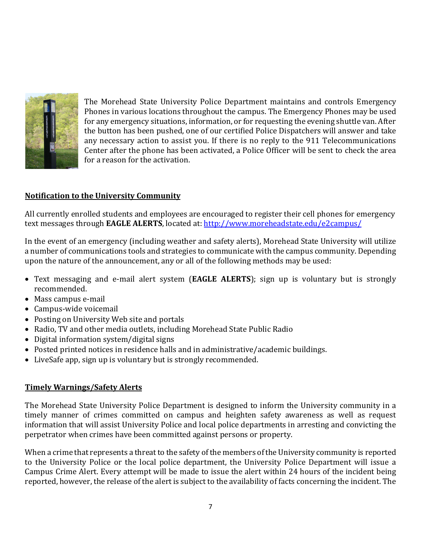

The Morehead State University Police Department maintains and controls Emergency Phones in various locations throughout the campus. The Emergency Phones may be used for any emergency situations, information, or for requesting the evening shuttle van. After the button has been pushed, one of our certified Police Dispatchers will answer and take any necessary action to assist you. If there is no reply to the 911 Telecommunications Center after the phone has been activated, a Police Officer will be sent to check the area for a reason for the activation.

#### **Notification to the University Community**

All currently enrolled students and employees are encouraged to register their cell phones for emergency text messages through **EAGLE ALERTS**, located at: http://www.moreheadstate.edu/e2campus/

In the event of an emergency (including weather and safety alerts), Morehead State University will utilize a number of communications tools and strategies to communicate with the campus community. Depending upon the nature of the announcement, any or all of the following methods may be used:

- Text messaging and e-mail alert system (**EAGLE ALERTS**); sign up is voluntary but is strongly recommended.
- Mass campus e-mail
- Campus-wide voicemail
- Posting on University Web site and portals
- Radio, TV and other media outlets, including Morehead State Public Radio
- Digital information system/digital signs
- Posted printed notices in residence halls and in administrative/academic buildings.
- LiveSafe app, sign up is voluntary but is strongly recommended.

#### **Timely Warnings/Safety Alerts**

The Morehead State University Police Department is designed to inform the University community in a timely manner of crimes committed on campus and heighten safety awareness as well as request information that will assist University Police and local police departments in arresting and convicting the perpetrator when crimes have been committed against persons or property.

When a crime that represents a threat to the safety of the members of the University community is reported to the University Police or the local police department, the University Police Department will issue a Campus Crime Alert. Every attempt will be made to issue the alert within 24 hours of the incident being reported, however, the release of the alert is subject to the availability of facts concerning the incident. The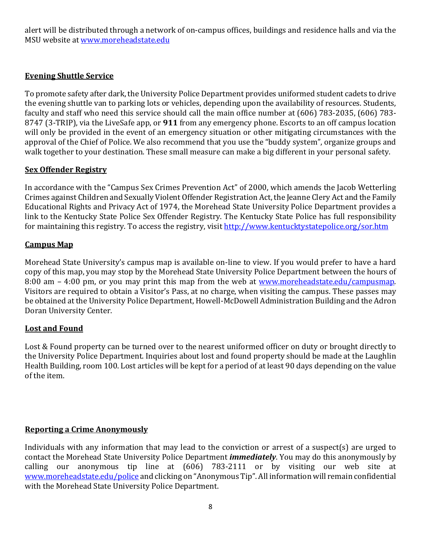alert will be distributed through a network of on-campus offices, buildings and residence halls and via the MSU website at www.moreheadstate.edu

## **Evening Shuttle Service**

To promote safety after dark, the University Police Department provides uniformed student cadets to drive the evening shuttle van to parking lots or vehicles, depending upon the availability of resources. Students, faculty and staff who need this service should call the main office number at (606) 783-2035, (606) 783-8747 (3-TRIP), via the LiveSafe app, or **911** from any emergency phone. Escorts to an off campus location will only be provided in the event of an emergency situation or other mitigating circumstances with the approval of the Chief of Police. We also recommend that you use the "buddy system", organize groups and walk together to your destination. These small measure can make a big different in your personal safety.

## **Sex Offender Registry**

In accordance with the "Campus Sex Crimes Prevention Act" of 2000, which amends the Jacob Wetterling Crimes against Children and Sexually Violent Offender Registration Act, the Jeanne Clery Act and the Family Educational Rights and Privacy Act of 1974, the Morehead State University Police Department provides a link to the Kentucky State Police Sex Offender Registry. The Kentucky State Police has full responsibility for maintaining this registry. To access the registry, visit http://www.kentucktystatepolice.org/sor.htm

## **Campus Map**

Morehead State University's campus map is available on-line to view. If you would prefer to have a hard copy of this map, you may stop by the Morehead State University Police Department between the hours of 8:00 am – 4:00 pm, or you may print this map from the web at www.moreheadstate.edu/campusmap. Visitors are required to obtain a Visitor's Pass, at no charge, when visiting the campus. These passes may be obtained at the University Police Department, Howell-McDowell Administration Building and the Adron Doran University Center.

## **Lost and Found**

Lost & Found property can be turned over to the nearest uniformed officer on duty or brought directly to the University Police Department. Inquiries about lost and found property should be made at the Laughlin Health Building, room 100. Lost articles will be kept for a period of at least 90 days depending on the value of the item.

## **Reporting a Crime Anonymously**

Individuals with any information that may lead to the conviction or arrest of a suspect(s) are urged to contact the Morehead State University Police Department *immediately*. You may do this anonymously by calling our anonymous tip line at  $(606)$  783-2111 or by visiting our web site at www.moreheadstate.edu/police and clicking on "Anonymous Tip". All information will remain confidential with the Morehead State University Police Department.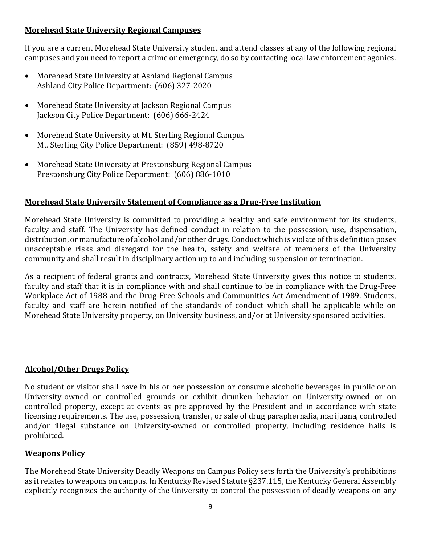## **Morehead State University Regional Campuses**

If you are a current Morehead State University student and attend classes at any of the following regional campuses and you need to report a crime or emergency, do so by contacting local law enforcement agonies.

- Morehead State University at Ashland Regional Campus Ashland City Police Department: (606) 327-2020
- Morehead State University at Jackson Regional Campus Jackson City Police Department: (606) 666-2424
- Morehead State University at Mt. Sterling Regional Campus Mt. Sterling City Police Department: (859) 498-8720
- Morehead State University at Prestonsburg Regional Campus Prestonsburg City Police Department: (606) 886-1010

#### **Morehead State University Statement of Compliance as a Drug-Free Institution**

Morehead State University is committed to providing a healthy and safe environment for its students, faculty and staff. The University has defined conduct in relation to the possession, use, dispensation, distribution, or manufacture of alcohol and/or other drugs. Conduct which is violate of this definition poses unacceptable risks and disregard for the health, safety and welfare of members of the University community and shall result in disciplinary action up to and including suspension or termination.

As a recipient of federal grants and contracts, Morehead State University gives this notice to students, faculty and staff that it is in compliance with and shall continue to be in compliance with the Drug-Free Workplace Act of 1988 and the Drug-Free Schools and Communities Act Amendment of 1989. Students, faculty and staff are herein notified of the standards of conduct which shall be applicable while on Morehead State University property, on University business, and/or at University sponsored activities.

#### **Alcohol/Other Drugs Policy**

No student or visitor shall have in his or her possession or consume alcoholic beverages in public or on University-owned or controlled grounds or exhibit drunken behavior on University-owned or on controlled property, except at events as pre-approved by the President and in accordance with state licensing requirements. The use, possession, transfer, or sale of drug paraphernalia, marijuana, controlled and/or illegal substance on University-owned or controlled property, including residence halls is prohibited. 

#### **Weapons Policy**

The Morehead State University Deadly Weapons on Campus Policy sets forth the University's prohibitions as it relates to weapons on campus. In Kentucky Revised Statute §237.115, the Kentucky General Assembly explicitly recognizes the authority of the University to control the possession of deadly weapons on any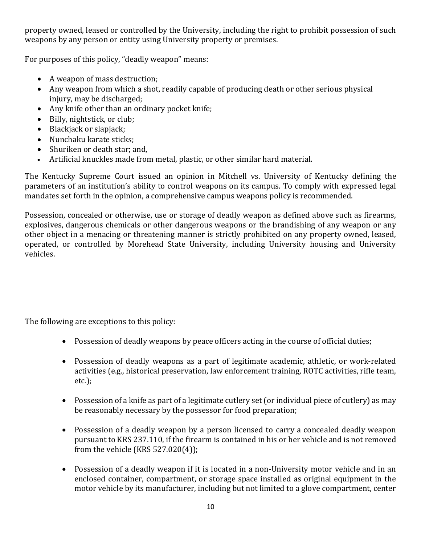property owned, leased or controlled by the University, including the right to prohibit possession of such weapons by any person or entity using University property or premises.

For purposes of this policy, "deadly weapon" means:

- A weapon of mass destruction;
- Any weapon from which a shot, readily capable of producing death or other serious physical injury, may be discharged;
- Any knife other than an ordinary pocket knife;
- Billy, nightstick, or club;
- $\bullet$  Blackjack or slapjack;
- Nunchaku karate sticks;
- Shuriken or death star; and,
- Artificial knuckles made from metal, plastic, or other similar hard material.

The Kentucky Supreme Court issued an opinion in Mitchell vs. University of Kentucky defining the parameters of an institution's ability to control weapons on its campus. To comply with expressed legal mandates set forth in the opinion, a comprehensive campus weapons policy is recommended.

Possession, concealed or otherwise, use or storage of deadly weapon as defined above such as firearms, explosives, dangerous chemicals or other dangerous weapons or the brandishing of any weapon or any other object in a menacing or threatening manner is strictly prohibited on any property owned, leased, operated, or controlled by Morehead State University, including University housing and University vehicles.

The following are exceptions to this policy:

- Possession of deadly weapons by peace officers acting in the course of official duties;
- Possession of deadly weapons as a part of legitimate academic, athletic, or work-related activities (e.g., historical preservation, law enforcement training, ROTC activities, rifle team, etc.);
- Possession of a knife as part of a legitimate cutlery set (or individual piece of cutlery) as may be reasonably necessary by the possessor for food preparation;
- Possession of a deadly weapon by a person licensed to carry a concealed deadly weapon pursuant to KRS 237.110, if the firearm is contained in his or her vehicle and is not removed from the vehicle  $(KRS 527.020(4))$ ;
- Possession of a deadly weapon if it is located in a non-University motor vehicle and in an enclosed container, compartment, or storage space installed as original equipment in the motor vehicle by its manufacturer, including but not limited to a glove compartment, center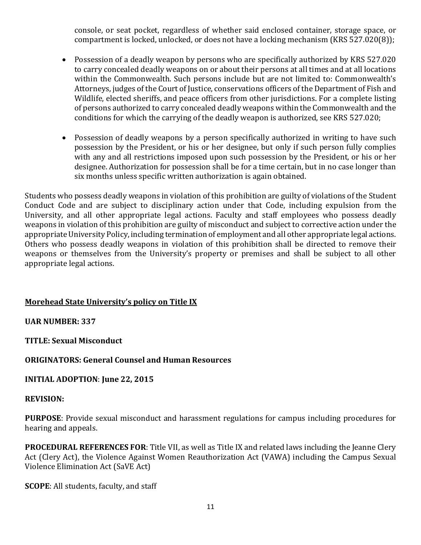console, or seat pocket, regardless of whether said enclosed container, storage space, or compartment is locked, unlocked, or does not have a locking mechanism  $(KRS 527.020(8))$ ;

- Possession of a deadly weapon by persons who are specifically authorized by KRS 527.020 to carry concealed deadly weapons on or about their persons at all times and at all locations within the Commonwealth. Such persons include but are not limited to: Commonwealth's Attorneys, judges of the Court of Justice, conservations officers of the Department of Fish and Wildlife, elected sheriffs, and peace officers from other jurisdictions. For a complete listing of persons authorized to carry concealed deadly weapons within the Commonwealth and the conditions for which the carrying of the deadly weapon is authorized, see KRS 527.020;
- Possession of deadly weapons by a person specifically authorized in writing to have such possession by the President, or his or her designee, but only if such person fully complies with any and all restrictions imposed upon such possession by the President, or his or her designee. Authorization for possession shall be for a time certain, but in no case longer than six months unless specific written authorization is again obtained.

Students who possess deadly weapons in violation of this prohibition are guilty of violations of the Student Conduct Code and are subject to disciplinary action under that Code, including expulsion from the University, and all other appropriate legal actions. Faculty and staff employees who possess deadly weapons in violation of this prohibition are guilty of misconduct and subject to corrective action under the appropriate University Policy, including termination of employment and all other appropriate legal actions. Others who possess deadly weapons in violation of this prohibition shall be directed to remove their weapons or themselves from the University's property or premises and shall be subject to all other appropriate legal actions.

## **Morehead State University's policy on Title IX**

#### **UAR NUMBER: 337**

**TITLE: Sexual Misconduct**

#### **ORIGINATORS: General Counsel and Human Resources**

#### **INITIAL ADOPTION:** June 22, 2015

#### **REVISION:**

**PURPOSE**: Provide sexual misconduct and harassment regulations for campus including procedures for hearing and appeals.

**PROCEDURAL REFERENCES FOR:** Title VII, as well as Title IX and related laws including the Jeanne Clery Act (Clery Act), the Violence Against Women Reauthorization Act (VAWA) including the Campus Sexual Violence Elimination Act (SaVE Act)

**SCOPE**: All students, faculty, and staff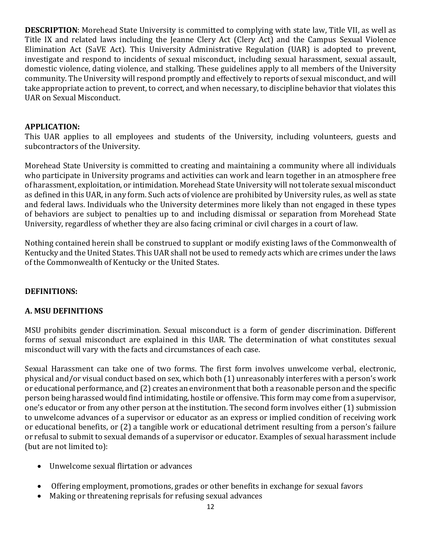**DESCRIPTION**: Morehead State University is committed to complying with state law, Title VII, as well as Title IX and related laws including the Jeanne Clery Act (Clery Act) and the Campus Sexual Violence Elimination Act (SaVE Act). This University Administrative Regulation (UAR) is adopted to prevent, investigate and respond to incidents of sexual misconduct, including sexual harassment, sexual assault, domestic violence, dating violence, and stalking. These guidelines apply to all members of the University community. The University will respond promptly and effectively to reports of sexual misconduct, and will take appropriate action to prevent, to correct, and when necessary, to discipline behavior that violates this UAR on Sexual Misconduct.

#### **APPLICATION:**

This UAR applies to all employees and students of the University, including volunteers, guests and subcontractors of the University.

Morehead State University is committed to creating and maintaining a community where all individuals who participate in University programs and activities can work and learn together in an atmosphere free of harassment, exploitation, or intimidation. Morehead State University will not tolerate sexual misconduct as defined in this UAR, in any form. Such acts of violence are prohibited by University rules, as well as state and federal laws. Individuals who the University determines more likely than not engaged in these types of behaviors are subject to penalties up to and including dismissal or separation from Morehead State University, regardless of whether they are also facing criminal or civil charges in a court of law.

Nothing contained herein shall be construed to supplant or modify existing laws of the Commonwealth of Kentucky and the United States. This UAR shall not be used to remedy acts which are crimes under the laws of the Commonwealth of Kentucky or the United States.

#### **DEFINITIONS:**

#### **A. MSU DEFINITIONS**

MSU prohibits gender discrimination. Sexual misconduct is a form of gender discrimination. Different forms of sexual misconduct are explained in this UAR. The determination of what constitutes sexual misconduct will vary with the facts and circumstances of each case.

Sexual Harassment can take one of two forms. The first form involves unwelcome verbal, electronic, physical and/or visual conduct based on sex, which both (1) unreasonably interferes with a person's work or educational performance, and (2) creates an environment that both a reasonable person and the specific person being harassed would find intimidating, hostile or offensive. This form may come from a supervisor, one's educator or from any other person at the institution. The second form involves either (1) submission to unwelcome advances of a supervisor or educator as an express or implied condition of receiving work or educational benefits, or (2) a tangible work or educational detriment resulting from a person's failure or refusal to submit to sexual demands of a supervisor or educator. Examples of sexual harassment include (but are not limited to):

- Unwelcome sexual flirtation or advances
- Offering employment, promotions, grades or other benefits in exchange for sexual favors
- Making or threatening reprisals for refusing sexual advances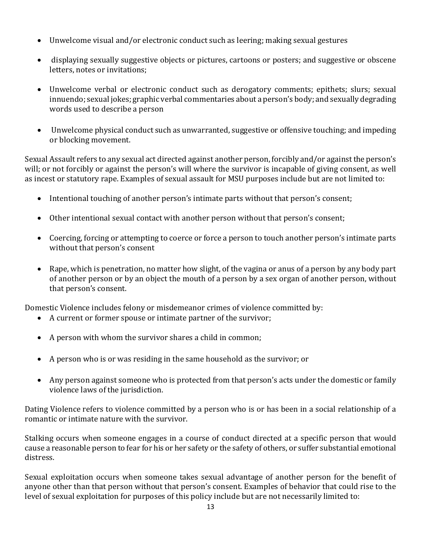- Unwelcome visual and/or electronic conduct such as leering; making sexual gestures
- displaying sexually suggestive objects or pictures, cartoons or posters; and suggestive or obscene letters, notes or invitations;
- Unwelcome verbal or electronic conduct such as derogatory comments; epithets; slurs; sexual innuendo; sexual jokes; graphic verbal commentaries about a person's body; and sexually degrading words used to describe a person
- Unwelcome physical conduct such as unwarranted, suggestive or offensive touching; and impeding or blocking movement.

Sexual Assault refers to any sexual act directed against another person, forcibly and/or against the person's will; or not forcibly or against the person's will where the survivor is incapable of giving consent, as well as incest or statutory rape. Examples of sexual assault for MSU purposes include but are not limited to:

- Intentional touching of another person's intimate parts without that person's consent;
- Other intentional sexual contact with another person without that person's consent;
- Coercing, forcing or attempting to coerce or force a person to touch another person's intimate parts without that person's consent
- Rape, which is penetration, no matter how slight, of the vagina or anus of a person by any body part of another person or by an object the mouth of a person by a sex organ of another person, without that person's consent.

Domestic Violence includes felony or misdemeanor crimes of violence committed by:

- A current or former spouse or intimate partner of the survivor;
- A person with whom the survivor shares a child in common;
- A person who is or was residing in the same household as the survivor; or
- Any person against someone who is protected from that person's acts under the domestic or family violence laws of the jurisdiction.

Dating Violence refers to violence committed by a person who is or has been in a social relationship of a romantic or intimate nature with the survivor.

Stalking occurs when someone engages in a course of conduct directed at a specific person that would cause a reasonable person to fear for his or her safety or the safety of others, or suffer substantial emotional distress.

Sexual exploitation occurs when someone takes sexual advantage of another person for the benefit of anyone other than that person without that person's consent. Examples of behavior that could rise to the level of sexual exploitation for purposes of this policy include but are not necessarily limited to: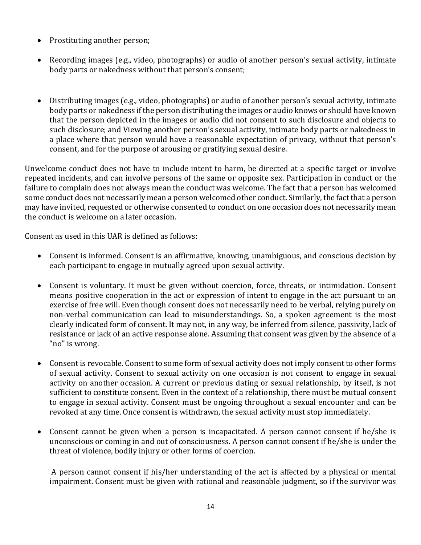- Prostituting another person;
- Recording images (e.g., video, photographs) or audio of another person's sexual activity, intimate body parts or nakedness without that person's consent;
- Distributing images (e.g., video, photographs) or audio of another person's sexual activity, intimate body parts or nakedness if the person distributing the images or audio knows or should have known that the person depicted in the images or audio did not consent to such disclosure and objects to such disclosure; and Viewing another person's sexual activity, intimate body parts or nakedness in a place where that person would have a reasonable expectation of privacy, without that person's consent, and for the purpose of arousing or gratifying sexual desire.

Unwelcome conduct does not have to include intent to harm, be directed at a specific target or involve repeated incidents, and can involve persons of the same or opposite sex. Participation in conduct or the failure to complain does not always mean the conduct was welcome. The fact that a person has welcomed some conduct does not necessarily mean a person welcomed other conduct. Similarly, the fact that a person may have invited, requested or otherwise consented to conduct on one occasion does not necessarily mean the conduct is welcome on a later occasion.

Consent as used in this UAR is defined as follows:

- Consent is informed. Consent is an affirmative, knowing, unambiguous, and conscious decision by each participant to engage in mutually agreed upon sexual activity.
- Consent is voluntary. It must be given without coercion, force, threats, or intimidation. Consent means positive cooperation in the act or expression of intent to engage in the act pursuant to an exercise of free will. Even though consent does not necessarily need to be verbal, relying purely on non-verbal communication can lead to misunderstandings. So, a spoken agreement is the most clearly indicated form of consent. It may not, in any way, be inferred from silence, passivity, lack of resistance or lack of an active response alone. Assuming that consent was given by the absence of a "no" is wrong.
- Consent is revocable. Consent to some form of sexual activity does not imply consent to other forms of sexual activity. Consent to sexual activity on one occasion is not consent to engage in sexual activity on another occasion. A current or previous dating or sexual relationship, by itself, is not sufficient to constitute consent. Even in the context of a relationship, there must be mutual consent to engage in sexual activity. Consent must be ongoing throughout a sexual encounter and can be revoked at any time. Once consent is withdrawn, the sexual activity must stop immediately.
- Consent cannot be given when a person is incapacitated. A person cannot consent if he/she is unconscious or coming in and out of consciousness. A person cannot consent if he/she is under the threat of violence, bodily injury or other forms of coercion.

A person cannot consent if his/her understanding of the act is affected by a physical or mental impairment. Consent must be given with rational and reasonable judgment, so if the survivor was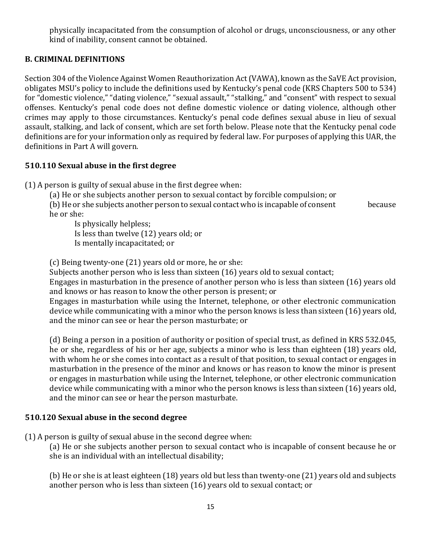physically incapacitated from the consumption of alcohol or drugs, unconsciousness, or any other kind of inability, consent cannot be obtained.

#### **B. CRIMINAL DEFINITIONS**

Section 304 of the Violence Against Women Reauthorization Act (VAWA), known as the SaVE Act provision, obligates MSU's policy to include the definitions used by Kentucky's penal code (KRS Chapters 500 to 534) for "domestic violence," "dating violence," "sexual assault," "stalking," and "consent" with respect to sexual offenses. Kentucky's penal code does not define domestic violence or dating violence, although other crimes may apply to those circumstances. Kentucky's penal code defines sexual abuse in lieu of sexual assault, stalking, and lack of consent, which are set forth below. Please note that the Kentucky penal code definitions are for your information only as required by federal law. For purposes of applying this UAR, the definitions in Part A will govern.

#### **510.110 Sexual abuse in the first degree**

 $(1)$  A person is guilty of sexual abuse in the first degree when:

(a) He or she subjects another person to sexual contact by forcible compulsion; or  $(b)$  He or she subjects another person to sexual contact who is incapable of consent because he or she:

Is physically helpless; Is less than twelve  $(12)$  years old; or Is mentally incapacitated; or

(c) Being twenty-one (21) years old or more, he or she:

Subjects another person who is less than sixteen  $(16)$  years old to sexual contact;

Engages in masturbation in the presence of another person who is less than sixteen (16) years old and knows or has reason to know the other person is present; or

Engages in masturbation while using the Internet, telephone, or other electronic communication device while communicating with a minor who the person knows is less than sixteen (16) vears old, and the minor can see or hear the person masturbate; or

(d) Being a person in a position of authority or position of special trust, as defined in KRS 532.045, he or she, regardless of his or her age, subjects a minor who is less than eighteen (18) years old, with whom he or she comes into contact as a result of that position, to sexual contact or engages in masturbation in the presence of the minor and knows or has reason to know the minor is present or engages in masturbation while using the Internet, telephone, or other electronic communication device while communicating with a minor who the person knows is less than sixteen (16) years old, and the minor can see or hear the person masturbate.

#### **510.120 Sexual abuse in the second degree**

 $(1)$  A person is guilty of sexual abuse in the second degree when:

(a) He or she subjects another person to sexual contact who is incapable of consent because he or she is an individual with an intellectual disability;

(b) He or she is at least eighteen  $(18)$  years old but less than twenty-one  $(21)$  years old and subjects another person who is less than sixteen (16) years old to sexual contact; or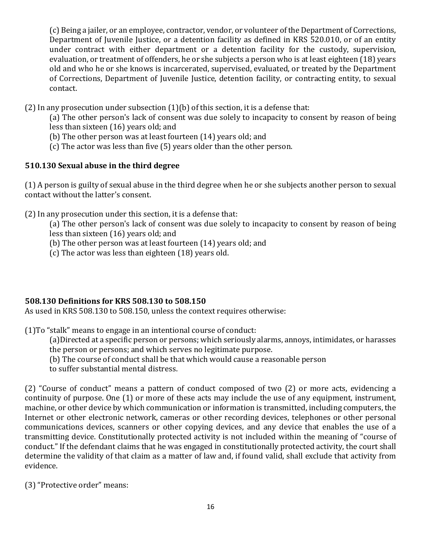(c) Being a jailer, or an employee, contractor, vendor, or volunteer of the Department of Corrections, Department of Juvenile Justice, or a detention facility as defined in KRS 520.010, or of an entity under contract with either department or a detention facility for the custody, supervision, evaluation, or treatment of offenders, he or she subjects a person who is at least eighteen (18) years old and who he or she knows is incarcerated, supervised, evaluated, or treated by the Department of Corrections, Department of Juvenile Justice, detention facility, or contracting entity, to sexual contact.

 $(2)$  In any prosecution under subsection  $(1)(b)$  of this section, it is a defense that:

(a) The other person's lack of consent was due solely to incapacity to consent by reason of being less than sixteen  $(16)$  years old; and

- (b) The other person was at least fourteen  $(14)$  years old; and
- (c) The actor was less than five  $(5)$  years older than the other person.

## **510.130 Sexual abuse in the third degree**

(1) A person is guilty of sexual abuse in the third degree when he or she subjects another person to sexual contact without the latter's consent.

 $(2)$  In any prosecution under this section, it is a defense that:

(a) The other person's lack of consent was due solely to incapacity to consent by reason of being less than sixteen  $(16)$  years old; and

- (b) The other person was at least fourteen  $(14)$  years old; and
- (c) The actor was less than eighteen  $(18)$  years old.

## **508.130 Definitions for KRS 508.130 to 508.150**

As used in KRS 508.130 to 508.150, unless the context requires otherwise:

 $(1)$ To "stalk" means to engage in an intentional course of conduct:

(a)Directed at a specific person or persons; which seriously alarms, annoys, intimidates, or harasses the person or persons; and which serves no legitimate purpose.

(b) The course of conduct shall be that which would cause a reasonable person

to suffer substantial mental distress.

(2) "Course of conduct" means a pattern of conduct composed of two (2) or more acts, evidencing a continuity of purpose. One (1) or more of these acts may include the use of any equipment, instrument, machine, or other device by which communication or information is transmitted, including computers, the Internet or other electronic network, cameras or other recording devices, telephones or other personal communications devices, scanners or other copying devices, and any device that enables the use of a transmitting device. Constitutionally protected activity is not included within the meaning of "course of conduct." If the defendant claims that he was engaged in constitutionally protected activity, the court shall determine the validity of that claim as a matter of law and, if found valid, shall exclude that activity from evidence.

(3) "Protective order" means: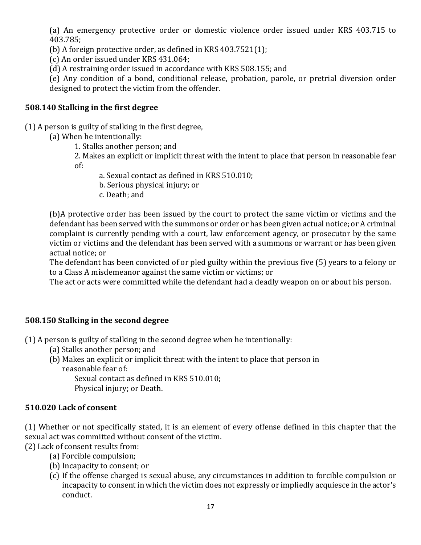(a) An emergency protective order or domestic violence order issued under KRS 403.715 to 403.785;

(b) A foreign protective order, as defined in KRS  $403.7521(1)$ ;

(c) An order issued under KRS 431.064;

(d) A restraining order issued in accordance with KRS 508.155; and

(e) Any condition of a bond, conditional release, probation, parole, or pretrial diversion order designed to protect the victim from the offender.

#### **508.140 Stalking in the first degree**

 $(1)$  A person is guilty of stalking in the first degree,

- (a) When he intentionally:
	- 1. Stalks another person; and

2. Makes an explicit or implicit threat with the intent to place that person in reasonable fear of:

- a. Sexual contact as defined in KRS 510.010;
- b. Serious physical injury; or
- c. Death; and

(b)A protective order has been issued by the court to protect the same victim or victims and the defendant has been served with the summons or order or has been given actual notice; or A criminal complaint is currently pending with a court, law enforcement agency, or prosecutor by the same victim or victims and the defendant has been served with a summons or warrant or has been given actual notice; or

The defendant has been convicted of or pled guilty within the previous five (5) years to a felony or to a Class A misdemeanor against the same victim or victims; or

The act or acts were committed while the defendant had a deadly weapon on or about his person.

## **508.150 Stalking in the second degree**

(1) A person is guilty of stalking in the second degree when he intentionally:

- (a) Stalks another person; and
- (b) Makes an explicit or implicit threat with the intent to place that person in reasonable fear of:

Sexual contact as defined in KRS 510.010;

Physical injury; or Death.

#### **510.020 Lack of consent**

(1) Whether or not specifically stated, it is an element of every offense defined in this chapter that the sexual act was committed without consent of the victim.

(2) Lack of consent results from:

- (a) Forcible compulsion;
- (b) Incapacity to consent; or
- (c) If the offense charged is sexual abuse, any circumstances in addition to forcible compulsion or incapacity to consent in which the victim does not expressly or impliedly acquiesce in the actor's conduct.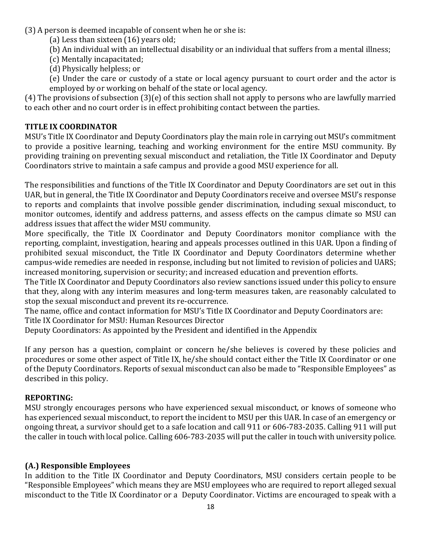- (3) A person is deemed incapable of consent when he or she is:
	- (a) Less than sixteen  $(16)$  years old;
	- (b) An individual with an intellectual disability or an individual that suffers from a mental illness;
	- (c) Mentally incapacitated;
	- (d) Physically helpless; or
	- (e) Under the care or custody of a state or local agency pursuant to court order and the actor is employed by or working on behalf of the state or local agency.

(4) The provisions of subsection  $(3)(e)$  of this section shall not apply to persons who are lawfully married to each other and no court order is in effect prohibiting contact between the parties.

#### **TITLE IX COORDINATOR**

MSU's Title IX Coordinator and Deputy Coordinators play the main role in carrying out MSU's commitment to provide a positive learning, teaching and working environment for the entire MSU community. By providing training on preventing sexual misconduct and retaliation, the Title IX Coordinator and Deputy Coordinators strive to maintain a safe campus and provide a good MSU experience for all.

The responsibilities and functions of the Title IX Coordinator and Deputy Coordinators are set out in this UAR, but in general, the Title IX Coordinator and Deputy Coordinators receive and oversee MSU's response to reports and complaints that involve possible gender discrimination, including sexual misconduct, to monitor outcomes, identify and address patterns, and assess effects on the campus climate so MSU can address issues that affect the wider MSU community.

More specifically, the Title IX Coordinator and Deputy Coordinators monitor compliance with the reporting, complaint, investigation, hearing and appeals processes outlined in this UAR. Upon a finding of prohibited sexual misconduct, the Title IX Coordinator and Deputy Coordinators determine whether campus-wide remedies are needed in response, including but not limited to revision of policies and UARS; increased monitoring, supervision or security; and increased education and prevention efforts.

The Title IX Coordinator and Deputy Coordinators also review sanctions issued under this policy to ensure that they, along with any interim measures and long-term measures taken, are reasonably calculated to stop the sexual misconduct and prevent its re-occurrence.

The name, office and contact information for MSU's Title IX Coordinator and Deputy Coordinators are: Title IX Coordinator for MSU: Human Resources Director

Deputy Coordinators: As appointed by the President and identified in the Appendix

If any person has a question, complaint or concern he/she believes is covered by these policies and procedures or some other aspect of Title IX, he/she should contact either the Title IX Coordinator or one of the Deputy Coordinators. Reports of sexual misconduct can also be made to "Responsible Employees" as described in this policy.

#### **REPORTING:**

MSU strongly encourages persons who have experienced sexual misconduct, or knows of someone who has experienced sexual misconduct, to report the incident to MSU per this UAR. In case of an emergency or ongoing threat, a survivor should get to a safe location and call 911 or 606-783-2035. Calling 911 will put the caller in touch with local police. Calling 606-783-2035 will put the caller in touch with university police.

#### **(A.) Responsible Employees**

In addition to the Title IX Coordinator and Deputy Coordinators, MSU considers certain people to be "Responsible Employees" which means they are MSU employees who are required to report alleged sexual misconduct to the Title IX Coordinator or a Deputy Coordinator. Victims are encouraged to speak with a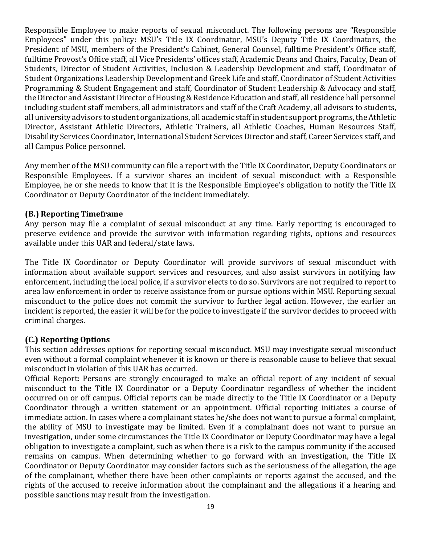Responsible Employee to make reports of sexual misconduct. The following persons are "Responsible Employees" under this policy: MSU's Title IX Coordinator, MSU's Deputy Title IX Coordinators, the President of MSU, members of the President's Cabinet, General Counsel, fulltime President's Office staff, fulltime Provost's Office staff, all Vice Presidents' offices staff, Academic Deans and Chairs, Faculty, Dean of Students, Director of Student Activities, Inclusion & Leadership Development and staff, Coordinator of Student Organizations Leadership Development and Greek Life and staff, Coordinator of Student Activities Programming & Student Engagement and staff, Coordinator of Student Leadership & Advocacy and staff, the Director and Assistant Director of Housing & Residence Education and staff, all residence hall personnel including student staff members, all administrators and staff of the Craft Academy, all advisors to students, all university advisors to student organizations, all academic staff in student support programs, the Athletic Director, Assistant Athletic Directors, Athletic Trainers, all Athletic Coaches, Human Resources Staff, Disability Services Coordinator, International Student Services Director and staff, Career Services staff, and all Campus Police personnel.

Any member of the MSU community can file a report with the Title IX Coordinator, Deputy Coordinators or Responsible Employees. If a survivor shares an incident of sexual misconduct with a Responsible Employee, he or she needs to know that it is the Responsible Employee's obligation to notify the Title IX Coordinator or Deputy Coordinator of the incident immediately.

#### **(B.) Reporting Timeframe**

Any person may file a complaint of sexual misconduct at any time. Early reporting is encouraged to preserve evidence and provide the survivor with information regarding rights, options and resources available under this UAR and federal/state laws.

The Title IX Coordinator or Deputy Coordinator will provide survivors of sexual misconduct with information about available support services and resources, and also assist survivors in notifying law enforcement, including the local police, if a survivor elects to do so. Survivors are not required to report to area law enforcement in order to receive assistance from or pursue options within MSU. Reporting sexual misconduct to the police does not commit the survivor to further legal action. However, the earlier an incident is reported, the easier it will be for the police to investigate if the survivor decides to proceed with criminal charges.

## **(C.) Reporting Options**

This section addresses options for reporting sexual misconduct. MSU may investigate sexual misconduct even without a formal complaint whenever it is known or there is reasonable cause to believe that sexual misconduct in violation of this UAR has occurred.

Official Report: Persons are strongly encouraged to make an official report of any incident of sexual misconduct to the Title IX Coordinator or a Deputy Coordinator regardless of whether the incident occurred on or off campus. Official reports can be made directly to the Title IX Coordinator or a Deputy Coordinator through a written statement or an appointment. Official reporting initiates a course of immediate action. In cases where a complainant states he/she does not want to pursue a formal complaint, the ability of MSU to investigate may be limited. Even if a complainant does not want to pursue an investigation, under some circumstances the Title IX Coordinator or Deputy Coordinator may have a legal obligation to investigate a complaint, such as when there is a risk to the campus community if the accused remains on campus. When determining whether to go forward with an investigation, the Title IX Coordinator or Deputy Coordinator may consider factors such as the seriousness of the allegation, the age of the complainant, whether there have been other complaints or reports against the accused, and the rights of the accused to receive information about the complainant and the allegations if a hearing and possible sanctions may result from the investigation.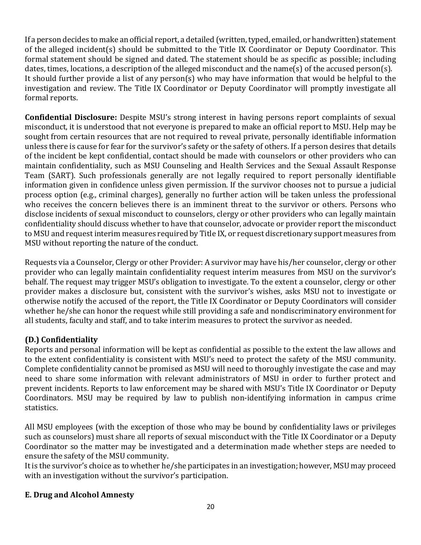If a person decides to make an official report, a detailed (written, typed, emailed, or handwritten) statement of the alleged incident(s) should be submitted to the Title IX Coordinator or Deputy Coordinator. This formal statement should be signed and dated. The statement should be as specific as possible; including dates, times, locations, a description of the alleged misconduct and the name(s) of the accused person(s). It should further provide a list of any person(s) who may have information that would be helpful to the investigation and review. The Title IX Coordinator or Deputy Coordinator will promptly investigate all formal reports.

**Confidential Disclosure:** Despite MSU's strong interest in having persons report complaints of sexual misconduct, it is understood that not everyone is prepared to make an official report to MSU. Help may be sought from certain resources that are not required to reveal private, personally identifiable information unless there is cause for fear for the survivor's safety or the safety of others. If a person desires that details of the incident be kept confidential, contact should be made with counselors or other providers who can maintain confidentiality, such as MSU Counseling and Health Services and the Sexual Assault Response Team (SART). Such professionals generally are not legally required to report personally identifiable information given in confidence unless given permission. If the survivor chooses not to pursue a judicial process option (e.g., criminal charges), generally no further action will be taken unless the professional who receives the concern believes there is an imminent threat to the survivor or others. Persons who disclose incidents of sexual misconduct to counselors, clergy or other providers who can legally maintain confidentiality should discuss whether to have that counselor, advocate or provider report the misconduct to MSU and request interim measures required by Title IX, or request discretionary support measures from MSU without reporting the nature of the conduct.

Requests via a Counselor, Clergy or other Provider: A survivor may have his/her counselor, clergy or other provider who can legally maintain confidentiality request interim measures from MSU on the survivor's behalf. The request may trigger MSU's obligation to investigate. To the extent a counselor, clergy or other provider makes a disclosure but, consistent with the survivor's wishes, asks MSU not to investigate or otherwise notify the accused of the report, the Title IX Coordinator or Deputy Coordinators will consider whether he/she can honor the request while still providing a safe and nondiscriminatory environment for all students, faculty and staff, and to take interim measures to protect the survivor as needed.

## **(D.) Confidentiality**

Reports and personal information will be kept as confidential as possible to the extent the law allows and to the extent confidentiality is consistent with MSU's need to protect the safety of the MSU community. Complete confidentiality cannot be promised as MSU will need to thoroughly investigate the case and may need to share some information with relevant administrators of MSU in order to further protect and prevent incidents. Reports to law enforcement may be shared with MSU's Title IX Coordinator or Deputy Coordinators. MSU may be required by law to publish non-identifying information in campus crime statistics. 

All MSU employees (with the exception of those who may be bound by confidentiality laws or privileges such as counselors) must share all reports of sexual misconduct with the Title IX Coordinator or a Deputy Coordinator so the matter may be investigated and a determination made whether steps are needed to ensure the safety of the MSU community.

It is the survivor's choice as to whether he/she participates in an investigation; however, MSU may proceed with an investigation without the survivor's participation.

## **E. Drug and Alcohol Amnesty**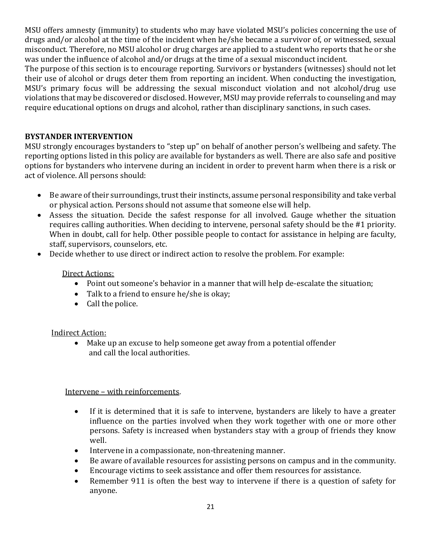MSU offers amnesty (immunity) to students who may have violated MSU's policies concerning the use of drugs and/or alcohol at the time of the incident when he/she became a survivor of, or witnessed, sexual misconduct. Therefore, no MSU alcohol or drug charges are applied to a student who reports that he or she was under the influence of alcohol and/or drugs at the time of a sexual misconduct incident.

The purpose of this section is to encourage reporting. Survivors or bystanders (witnesses) should not let their use of alcohol or drugs deter them from reporting an incident. When conducting the investigation, MSU's primary focus will be addressing the sexual misconduct violation and not alcohol/drug use violations that may be discovered or disclosed. However, MSU may provide referrals to counseling and may require educational options on drugs and alcohol, rather than disciplinary sanctions, in such cases.

## **BYSTANDER INTERVENTION**

MSU strongly encourages bystanders to "step up" on behalf of another person's wellbeing and safety. The reporting options listed in this policy are available for bystanders as well. There are also safe and positive options for bystanders who intervene during an incident in order to prevent harm when there is a risk or act of violence. All persons should:

- Be aware of their surroundings, trust their instincts, assume personal responsibility and take verbal or physical action. Persons should not assume that someone else will help.
- Assess the situation. Decide the safest response for all involved. Gauge whether the situation requires calling authorities. When deciding to intervene, personal safety should be the #1 priority. When in doubt, call for help. Other possible people to contact for assistance in helping are faculty, staff, supervisors, counselors, etc.
- Decide whether to use direct or indirect action to resolve the problem. For example:

#### Direct Actions:

- Point out someone's behavior in a manner that will help de-escalate the situation;
- Talk to a friend to ensure he/she is okay;
- $\bullet$  Call the police.

## **Indirect Action:**

• Make up an excuse to help someone get away from a potential offender and call the local authorities.

## Intervene - with reinforcements.

- If it is determined that it is safe to intervene, bystanders are likely to have a greater influence on the parties involved when they work together with one or more other persons. Safety is increased when bystanders stay with a group of friends they know well.
- Intervene in a compassionate, non-threatening manner.
- Be aware of available resources for assisting persons on campus and in the community.
- Encourage victims to seek assistance and offer them resources for assistance.
- Remember 911 is often the best way to intervene if there is a question of safety for anyone.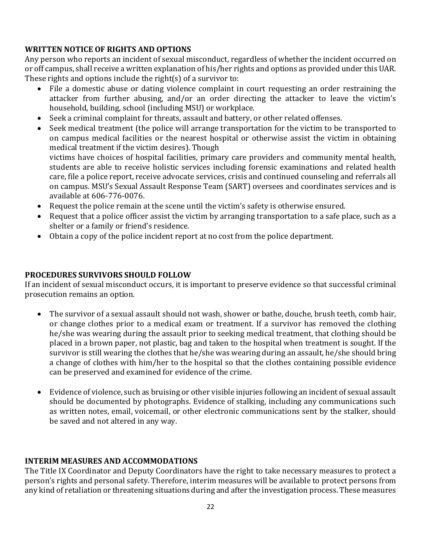## **WRITTEN NOTICE OF RIGHTS AND OPTIONS**

Any person who reports an incident of sexual misconduct, regardless of whether the incident occurred on or off campus, shall receive a written explanation of his/her rights and options as provided under this UAR. These rights and options include the right(s) of a survivor to:

- File a domestic abuse or dating violence complaint in court requesting an order restraining the attacker from further abusing, and/or an order directing the attacker to leave the victim's household, building, school (including MSU) or workplace.
- Seek a criminal complaint for threats, assault and battery, or other related offenses.
- Seek medical treatment (the police will arrange transportation for the victim to be transported to on campus medical facilities or the nearest hospital or otherwise assist the victim in obtaining medical treatment if the victim desires). Though victims have choices of hospital facilities, primary care providers and community mental health, students are able to receive holistic services including forensic examinations and related health care, file a police report, receive advocate services, crisis and continued counseling and referrals all on campus. MSU's Sexual Assault Response Team (SART) oversees and coordinates services and is available at 606-776-0076.
- Request the police remain at the scene until the victim's safety is otherwise ensured.
- Request that a police officer assist the victim by arranging transportation to a safe place, such as a shelter or a family or friend's residence.
- Obtain a copy of the police incident report at no cost from the police department.

## **PROCEDURES SURVIVORS SHOULD FOLLOW**

If an incident of sexual misconduct occurs, it is important to preserve evidence so that successful criminal prosecution remains an option.

- The survivor of a sexual assault should not wash, shower or bathe, douche, brush teeth, comb hair, or change clothes prior to a medical exam or treatment. If a survivor has removed the clothing he/she was wearing during the assault prior to seeking medical treatment, that clothing should be placed in a brown paper, not plastic, bag and taken to the hospital when treatment is sought. If the survivor is still wearing the clothes that he/she was wearing during an assault, he/she should bring a change of clothes with him/her to the hospital so that the clothes containing possible evidence can be preserved and examined for evidence of the crime.
- Evidence of violence, such as bruising or other visible injuries following an incident of sexual assault should be documented by photographs. Evidence of stalking, including any communications such as written notes, email, voicemail, or other electronic communications sent by the stalker, should be saved and not altered in any way.

## **INTERIM MEASURES AND ACCOMMODATIONS**

The Title IX Coordinator and Deputy Coordinators have the right to take necessary measures to protect a person's rights and personal safety. Therefore, interim measures will be available to protect persons from any kind of retaliation or threatening situations during and after the investigation process. These measures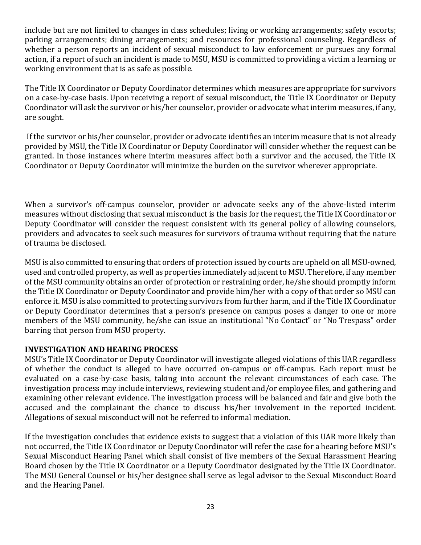include but are not limited to changes in class schedules; living or working arrangements; safety escorts; parking arrangements; dining arrangements; and resources for professional counseling. Regardless of whether a person reports an incident of sexual misconduct to law enforcement or pursues any formal action, if a report of such an incident is made to MSU, MSU is committed to providing a victim a learning or working environment that is as safe as possible.

The Title IX Coordinator or Deputy Coordinator determines which measures are appropriate for survivors on a case-by-case basis. Upon receiving a report of sexual misconduct, the Title IX Coordinator or Deputy Coordinator will ask the survivor or his/her counselor, provider or advocate what interim measures, if any, are sought.

If the survivor or his/her counselor, provider or advocate identifies an interim measure that is not already provided by MSU, the Title IX Coordinator or Deputy Coordinator will consider whether the request can be granted. In those instances where interim measures affect both a survivor and the accused, the Title IX Coordinator or Deputy Coordinator will minimize the burden on the survivor wherever appropriate.

When a survivor's off-campus counselor, provider or advocate seeks any of the above-listed interim measures without disclosing that sexual misconduct is the basis for the request, the Title IX Coordinator or Deputy Coordinator will consider the request consistent with its general policy of allowing counselors, providers and advocates to seek such measures for survivors of trauma without requiring that the nature of trauma be disclosed.

MSU is also committed to ensuring that orders of protection issued by courts are upheld on all MSU-owned, used and controlled property, as well as properties immediately adjacent to MSU. Therefore, if any member of the MSU community obtains an order of protection or restraining order, he/she should promptly inform the Title IX Coordinator or Deputy Coordinator and provide him/her with a copy of that order so MSU can enforce it. MSU is also committed to protecting survivors from further harm, and if the Title IX Coordinator or Deputy Coordinator determines that a person's presence on campus poses a danger to one or more members of the MSU community, he/she can issue an institutional "No Contact" or "No Trespass" order barring that person from MSU property.

## **INVESTIGATION AND HEARING PROCESS**

MSU's Title IX Coordinator or Deputy Coordinator will investigate alleged violations of this UAR regardless of whether the conduct is alleged to have occurred on-campus or off-campus. Each report must be evaluated on a case-by-case basis, taking into account the relevant circumstances of each case. The investigation process may include interviews, reviewing student and/or employee files, and gathering and examining other relevant evidence. The investigation process will be balanced and fair and give both the accused and the complainant the chance to discuss his/her involvement in the reported incident. Allegations of sexual misconduct will not be referred to informal mediation.

If the investigation concludes that evidence exists to suggest that a violation of this UAR more likely than not occurred, the Title IX Coordinator or Deputy Coordinator will refer the case for a hearing before MSU's Sexual Misconduct Hearing Panel which shall consist of five members of the Sexual Harassment Hearing Board chosen by the Title IX Coordinator or a Deputy Coordinator designated by the Title IX Coordinator. The MSU General Counsel or his/her designee shall serve as legal advisor to the Sexual Misconduct Board and the Hearing Panel.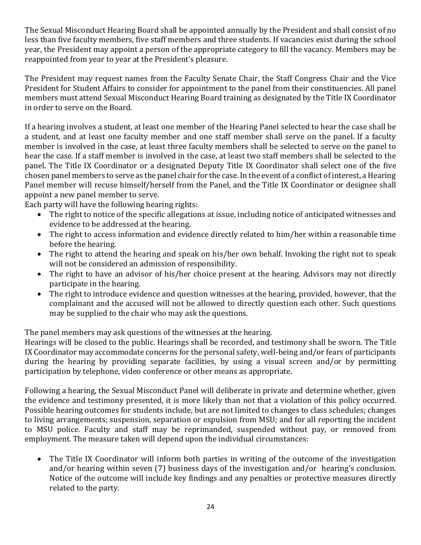The Sexual Misconduct Hearing Board shall be appointed annually by the President and shall consist of no less than five faculty members, five staff members and three students. If vacancies exist during the school year, the President may appoint a person of the appropriate category to fill the vacancy. Members may be reappointed from year to year at the President's pleasure.

The President may request names from the Faculty Senate Chair, the Staff Congress Chair and the Vice President for Student Affairs to consider for appointment to the panel from their constituencies. All panel members must attend Sexual Misconduct Hearing Board training as designated by the Title IX Coordinator in order to serve on the Board.

If a hearing involves a student, at least one member of the Hearing Panel selected to hear the case shall be a student, and at least one faculty member and one staff member shall serve on the panel. If a faculty member is involved in the case, at least three faculty members shall be selected to serve on the panel to hear the case. If a staff member is involved in the case, at least two staff members shall be selected to the panel. The Title IX Coordinator or a designated Deputy Title IX Coordinator shall select one of the five chosen panel members to serve as the panel chair for the case. In the event of a conflict of interest, a Hearing Panel member will recuse himself/herself from the Panel, and the Title IX Coordinator or designee shall appoint a new panel member to serve.

Each party will have the following hearing rights:

- The right to notice of the specific allegations at issue, including notice of anticipated witnesses and evidence to be addressed at the hearing.
- The right to access information and evidence directly related to him/her within a reasonable time before the hearing.
- The right to attend the hearing and speak on his/her own behalf. Invoking the right not to speak will not be considered an admission of responsibility.
- The right to have an advisor of his/her choice present at the hearing. Advisors may not directly participate in the hearing.
- The right to introduce evidence and question witnesses at the hearing, provided, however, that the complainant and the accused will not be allowed to directly question each other. Such questions may be supplied to the chair who may ask the questions.

The panel members may ask questions of the witnesses at the hearing.

Hearings will be closed to the public. Hearings shall be recorded, and testimony shall be sworn. The Title IX Coordinator may accommodate concerns for the personal safety, well-being and/or fears of participants during the hearing by providing separate facilities, by using a visual screen and/or by permitting participation by telephone, video conference or other means as appropriate.

Following a hearing, the Sexual Misconduct Panel will deliberate in private and determine whether, given the evidence and testimony presented, it is more likely than not that a violation of this policy occurred. Possible hearing outcomes for students include, but are not limited to changes to class schedules; changes to living arrangements; suspension, separation or expulsion from MSU; and for all reporting the incident to MSU police. Faculty and staff may be reprimanded, suspended without pay, or removed from employment. The measure taken will depend upon the individual circumstances:

• The Title IX Coordinator will inform both parties in writing of the outcome of the investigation and/or hearing within seven  $(7)$  business days of the investigation and/or hearing's conclusion. Notice of the outcome will include key findings and any penalties or protective measures directly related to the party.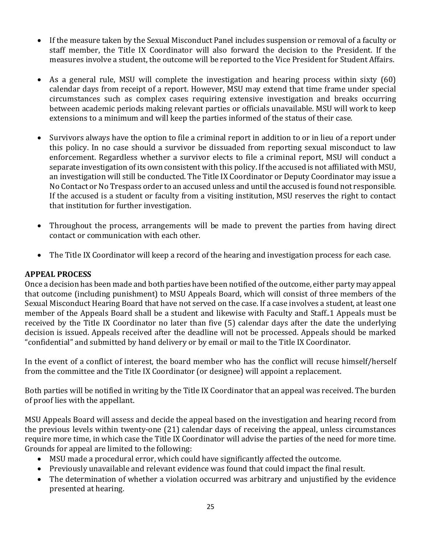- If the measure taken by the Sexual Misconduct Panel includes suspension or removal of a faculty or staff member, the Title IX Coordinator will also forward the decision to the President. If the measures involve a student, the outcome will be reported to the Vice President for Student Affairs.
- As a general rule, MSU will complete the investigation and hearing process within sixty (60) calendar days from receipt of a report. However, MSU may extend that time frame under special circumstances such as complex cases requiring extensive investigation and breaks occurring between academic periods making relevant parties or officials unavailable. MSU will work to keep extensions to a minimum and will keep the parties informed of the status of their case.
- Survivors always have the option to file a criminal report in addition to or in lieu of a report under this policy. In no case should a survivor be dissuaded from reporting sexual misconduct to law enforcement. Regardless whether a survivor elects to file a criminal report, MSU will conduct a separate investigation of its own consistent with this policy. If the accused is not affiliated with MSU, an investigation will still be conducted. The Title IX Coordinator or Deputy Coordinator may issue a No Contact or No Trespass order to an accused unless and until the accused is found not responsible. If the accused is a student or faculty from a visiting institution, MSU reserves the right to contact that institution for further investigation.
- Throughout the process, arrangements will be made to prevent the parties from having direct contact or communication with each other.
- The Title IX Coordinator will keep a record of the hearing and investigation process for each case.

## **APPEAL PROCESS**

Once a decision has been made and both parties have been notified of the outcome, either party may appeal that outcome (including punishment) to MSU Appeals Board, which will consist of three members of the Sexual Misconduct Hearing Board that have not served on the case. If a case involves a student, at least one member of the Appeals Board shall be a student and likewise with Faculty and Staff..1 Appeals must be received by the Title IX Coordinator no later than five (5) calendar days after the date the underlying decision is issued. Appeals received after the deadline will not be processed. Appeals should be marked "confidential" and submitted by hand delivery or by email or mail to the Title IX Coordinator.

In the event of a conflict of interest, the board member who has the conflict will recuse himself/herself from the committee and the Title IX Coordinator (or designee) will appoint a replacement.

Both parties will be notified in writing by the Title IX Coordinator that an appeal was received. The burden of proof lies with the appellant.

MSU Appeals Board will assess and decide the appeal based on the investigation and hearing record from the previous levels within twenty-one  $(21)$  calendar days of receiving the appeal, unless circumstances require more time, in which case the Title IX Coordinator will advise the parties of the need for more time. Grounds for appeal are limited to the following:

- MSU made a procedural error, which could have significantly affected the outcome.
- Previously unavailable and relevant evidence was found that could impact the final result.
- The determination of whether a violation occurred was arbitrary and unjustified by the evidence presented at hearing.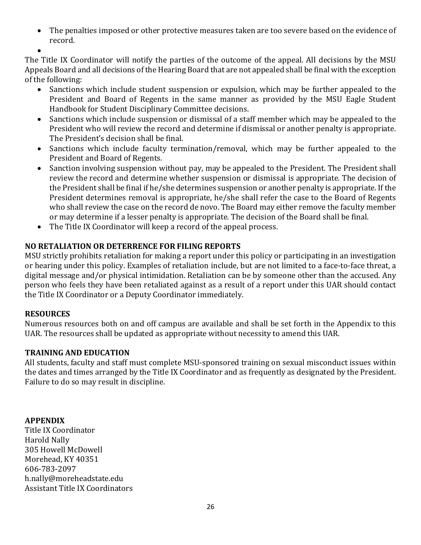• The penalties imposed or other protective measures taken are too severe based on the evidence of record.

•

The Title IX Coordinator will notify the parties of the outcome of the appeal. All decisions by the MSU Appeals Board and all decisions of the Hearing Board that are not appealed shall be final with the exception of the following:

- Sanctions which include student suspension or expulsion, which may be further appealed to the President and Board of Regents in the same manner as provided by the MSU Eagle Student Handbook for Student Disciplinary Committee decisions.
- Sanctions which include suspension or dismissal of a staff member which may be appealed to the President who will review the record and determine if dismissal or another penalty is appropriate. The President's decision shall be final.
- Sanctions which include faculty termination/removal, which may be further appealed to the President and Board of Regents.
- Sanction involving suspension without pay, may be appealed to the President. The President shall review the record and determine whether suspension or dismissal is appropriate. The decision of the President shall be final if he/she determines suspension or another penalty is appropriate. If the President determines removal is appropriate, he/she shall refer the case to the Board of Regents who shall review the case on the record de novo. The Board may either remove the faculty member or may determine if a lesser penalty is appropriate. The decision of the Board shall be final.
- The Title IX Coordinator will keep a record of the appeal process.

## **NO RETALIATION OR DETERRENCE FOR FILING REPORTS**

MSU strictly prohibits retaliation for making a report under this policy or participating in an investigation or hearing under this policy. Examples of retaliation include, but are not limited to a face-to-face threat, a digital message and/or physical intimidation. Retaliation can be by someone other than the accused. Any person who feels they have been retaliated against as a result of a report under this UAR should contact the Title IX Coordinator or a Deputy Coordinator immediately.

## **RESOURCES**

Numerous resources both on and off campus are available and shall be set forth in the Appendix to this UAR. The resources shall be updated as appropriate without necessity to amend this UAR.

## **TRAINING AND EDUCATION**

All students, faculty and staff must complete MSU-sponsored training on sexual misconduct issues within the dates and times arranged by the Title IX Coordinator and as frequently as designated by the President. Failure to do so may result in discipline.

## **APPENDIX**

Title IX Coordinator Harold Nally 305 Howell McDowell Morehead, KY 40351 606-783-2097 h.nally@moreheadstate.edu Assistant Title IX Coordinators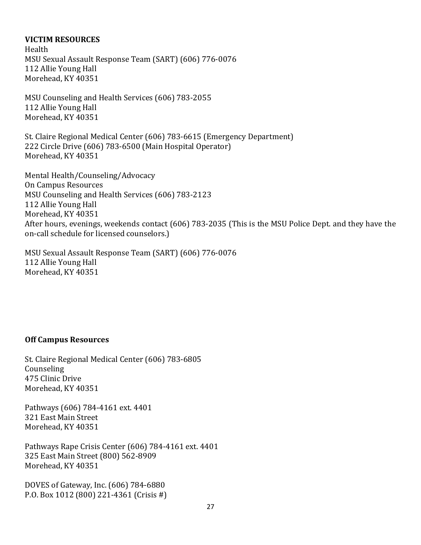#### **VICTIM RESOURCES**

Health MSU Sexual Assault Response Team (SART) (606) 776-0076 112 Allie Young Hall Morehead, KY 40351

MSU Counseling and Health Services (606) 783-2055 112 Allie Young Hall Morehead, KY 40351

St. Claire Regional Medical Center (606) 783-6615 (Emergency Department) 222 Circle Drive (606) 783-6500 (Main Hospital Operator) Morehead, KY 40351

Mental Health/Counseling/Advocacy **On Campus Resources** MSU Counseling and Health Services (606) 783-2123 112 Allie Young Hall Morehead, KY 40351 After hours, evenings, weekends contact (606) 783-2035 (This is the MSU Police Dept. and they have the on-call schedule for licensed counselors.)

MSU Sexual Assault Response Team (SART) (606) 776-0076 112 Allie Young Hall Morehead, KY 40351

#### **Off Campus Resources**

St. Claire Regional Medical Center (606) 783-6805 Counseling 475 Clinic Drive Morehead, KY 40351

Pathways (606) 784-4161 ext. 4401 321 East Main Street Morehead, KY 40351

Pathways Rape Crisis Center (606) 784-4161 ext. 4401 325 East Main Street (800) 562-8909 Morehead, KY 40351

DOVES of Gateway, Inc. (606) 784-6880 P.O. Box 1012 (800) 221-4361 (Crisis #)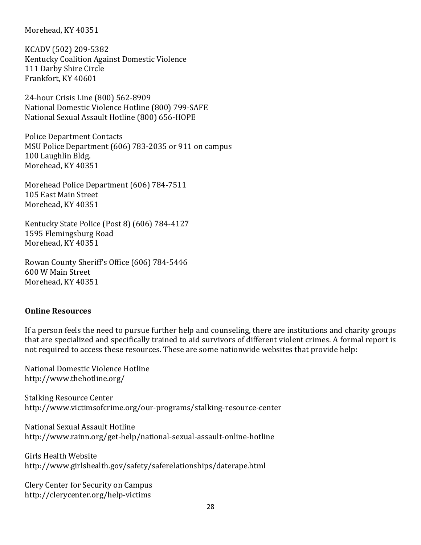Morehead, KY 40351

KCADV (502) 209-5382 Kentucky Coalition Against Domestic Violence 111 Darby Shire Circle Frankfort, KY 40601

24-hour Crisis Line (800) 562-8909 National Domestic Violence Hotline (800) 799-SAFE National Sexual Assault Hotline (800) 656-HOPE

Police Department Contacts MSU Police Department (606) 783-2035 or 911 on campus 100 Laughlin Bldg. Morehead, KY 40351

Morehead Police Department (606) 784-7511 105 East Main Street Morehead, KY 40351

Kentucky State Police (Post 8) (606) 784-4127 1595 Flemingsburg Road Morehead, KY 40351

Rowan County Sheriff's Office (606) 784-5446 600 W Main Street Morehead, KY 40351

#### **Online Resources**

If a person feels the need to pursue further help and counseling, there are institutions and charity groups that are specialized and specifically trained to aid survivors of different violent crimes. A formal report is not required to access these resources. These are some nationwide websites that provide help:

National Domestic Violence Hotline http://www.thehotline.org/

**Stalking Resource Center** http://www.victimsofcrime.org/our-programs/stalking-resource-center

National Sexual Assault Hotline http://www.rainn.org/get-help/national-sexual-assault-online-hotline

Girls Health Website http://www.girlshealth.gov/safety/saferelationships/daterape.html

Clery Center for Security on Campus http://clerycenter.org/help-victims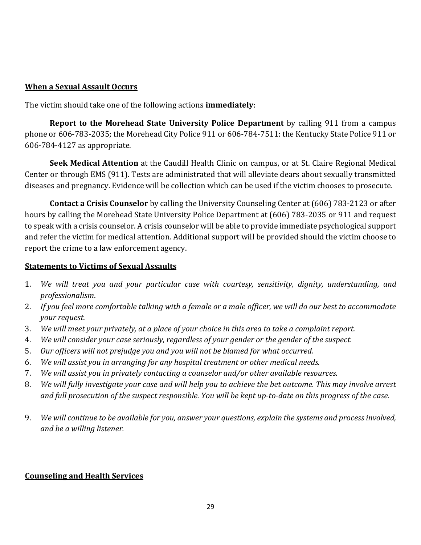#### **When a Sexual Assault Occurs**

The victim should take one of the following actions **immediately**:

**Report to the Morehead State University Police Department** by calling 911 from a campus phone or 606-783-2035; the Morehead City Police 911 or 606-784-7511: the Kentucky State Police 911 or 606-784-4127 as appropriate.

**Seek Medical Attention** at the Caudill Health Clinic on campus, or at St. Claire Regional Medical Center or through EMS (911). Tests are administrated that will alleviate dears about sexually transmitted diseases and pregnancy. Evidence will be collection which can be used if the victim chooses to prosecute.

**Contact a Crisis Counselor** by calling the University Counseling Center at (606) 783-2123 or after hours by calling the Morehead State University Police Department at (606) 783-2035 or 911 and request to speak with a crisis counselor. A crisis counselor will be able to provide immediate psychological support and refer the victim for medical attention. Additional support will be provided should the victim choose to report the crime to a law enforcement agency.

#### **Statements to Victims of Sexual Assaults**

- 1. We will treat you and your particular case with courtesy, sensitivity, dignity, understanding, and *professionalism*.
- 2. If you feel more comfortable talking with a female or a male officer, we will do our best to accommodate *your request.*
- 3. We will meet your privately, at a place of your choice in this area to take a complaint report.
- 4. *We will consider your case seriously, regardless of your gender or the gender of the suspect.*
- 5. Our officers will not prejudge you and you will not be blamed for what occurred.
- 6. *We will assist you in arranging for any hospital treatment or other medical needs.*
- 7. *We will assist you in privately contacting a counselor and/or other available resources.*
- 8. *We will fully investigate your case and will help you to achieve the bet outcome. This may involve arrest and* full prosecution of the suspect responsible. You will be kept up-to-date on this progress of the case.
- 9. *We will continue to be available for you, answer your questions, explain the systems and process involved, and be a willing listener.*

## **Counseling and Health Services**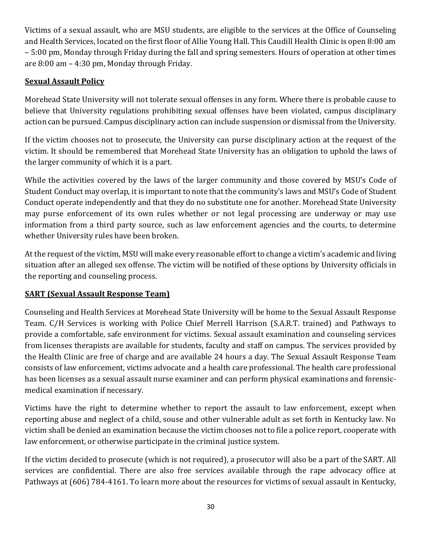Victims of a sexual assault, who are MSU students, are eligible to the services at the Office of Counseling and Health Services, located on the first floor of Allie Young Hall. This Caudill Health Clinic is open 8:00 am – 5:00 pm, Monday through Friday during the fall and spring semesters. Hours of operation at other times are  $8:00$  am  $-4:30$  pm, Monday through Friday.

## **Sexual Assault Policy**

Morehead State University will not tolerate sexual offenses in any form. Where there is probable cause to believe that University regulations prohibiting sexual offenses have been violated, campus disciplinary action can be pursued. Campus disciplinary action can include suspension or dismissal from the University.

If the victim chooses not to prosecute, the University can purse disciplinary action at the request of the victim. It should be remembered that Morehead State University has an obligation to uphold the laws of the larger community of which it is a part.

While the activities covered by the laws of the larger community and those covered by MSU's Code of Student Conduct may overlap, it is important to note that the community's laws and MSU's Code of Student Conduct operate independently and that they do no substitute one for another. Morehead State University may purse enforcement of its own rules whether or not legal processing are underway or may use information from a third party source, such as law enforcement agencies and the courts, to determine whether University rules have been broken.

At the request of the victim, MSU will make every reasonable effort to change a victim's academic and living situation after an alleged sex offense. The victim will be notified of these options by University officials in the reporting and counseling process.

## **SART** (Sexual Assault Response Team)

Counseling and Health Services at Morehead State University will be home to the Sexual Assault Response Team. C/H Services is working with Police Chief Merrell Harrison (S.A.R.T. trained) and Pathways to provide a comfortable, safe environment for victims. Sexual assault examination and counseling services from licenses therapists are available for students, faculty and staff on campus. The services provided by the Health Clinic are free of charge and are available 24 hours a day. The Sexual Assault Response Team consists of law enforcement, victims advocate and a health care professional. The health care professional has been licenses as a sexual assault nurse examiner and can perform physical examinations and forensicmedical examination if necessary.

Victims have the right to determine whether to report the assault to law enforcement, except when reporting abuse and neglect of a child, souse and other vulnerable adult as set forth in Kentucky law. No victim shall be denied an examination because the victim chooses not to file a police report, cooperate with law enforcement, or otherwise participate in the criminal justice system.

If the victim decided to prosecute (which is not required), a prosecutor will also be a part of the SART. All services are confidential. There are also free services available through the rape advocacy office at Pathways at (606) 784-4161. To learn more about the resources for victims of sexual assault in Kentucky,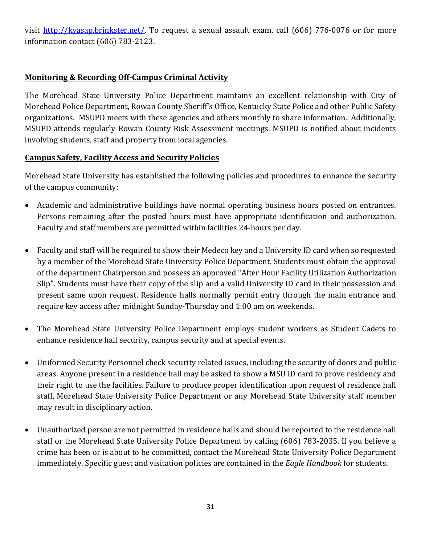visit http://kyasap.brinkster.net/. To request a sexual assault exam, call (606) 776-0076 or for more information contact  $(606)$  783-2123.

## **Monitoring & Recording Off-Campus Criminal Activity**

The Morehead State University Police Department maintains an excellent relationship with City of Morehead Police Department, Rowan County Sheriff's Office, Kentucky State Police and other Public Safety organizations. MSUPD meets with these agencies and others monthly to share information. Additionally, MSUPD attends regularly Rowan County Risk Assessment meetings. MSUPD is notified about incidents involving students, staff and property from local agencies.

## **Campus Safety, Facility Access and Security Policies**

Morehead State University has established the following policies and procedures to enhance the security of the campus community:

- Academic and administrative buildings have normal operating business hours posted on entrances. Persons remaining after the posted hours must have appropriate identification and authorization. Faculty and staff members are permitted within facilities 24-hours per day.
- Faculty and staff will be required to show their Medeco key and a University ID card when so requested by a member of the Morehead State University Police Department. Students must obtain the approval of the department Chairperson and possess an approved "After Hour Facility Utilization Authorization Slip". Students must have their copy of the slip and a valid University ID card in their possession and present same upon request. Residence halls normally permit entry through the main entrance and require key access after midnight Sunday-Thursday and 1:00 am on weekends.
- The Morehead State University Police Department employs student workers as Student Cadets to enhance residence hall security, campus security and at special events.
- Uniformed Security Personnel check security related issues, including the security of doors and public areas. Anyone present in a residence hall may be asked to show a MSU ID card to prove residency and their right to use the facilities. Failure to produce proper identification upon request of residence hall staff, Morehead State University Police Department or any Morehead State University staff member may result in disciplinary action.
- Unauthorized person are not permitted in residence halls and should be reported to the residence hall staff or the Morehead State University Police Department by calling (606) 783-2035. If you believe a crime has been or is about to be committed, contact the Morehead State University Police Department immediately. Specific guest and visitation policies are contained in the *Eagle Handbook* for students.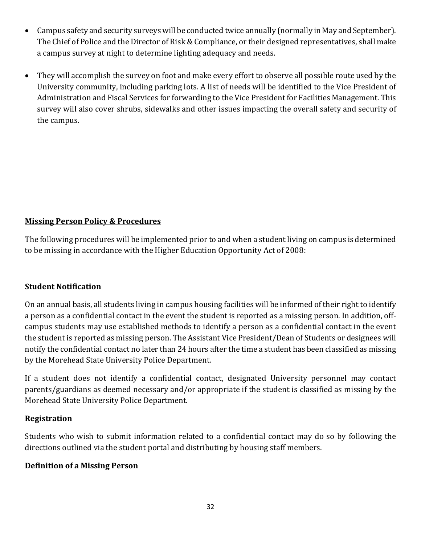- Campus safety and security surveys will be conducted twice annually (normally in May and September). The Chief of Police and the Director of Risk & Compliance, or their designed representatives, shall make a campus survey at night to determine lighting adequacy and needs.
- They will accomplish the survey on foot and make every effort to observe all possible route used by the University community, including parking lots. A list of needs will be identified to the Vice President of Administration and Fiscal Services for forwarding to the Vice President for Facilities Management. This survey will also cover shrubs, sidewalks and other issues impacting the overall safety and security of the campus.

## **Missing Person Policy & Procedures**

The following procedures will be implemented prior to and when a student living on campus is determined to be missing in accordance with the Higher Education Opportunity Act of 2008:

## **Student Notification**

On an annual basis, all students living in campus housing facilities will be informed of their right to identify a person as a confidential contact in the event the student is reported as a missing person. In addition, offcampus students may use established methods to identify a person as a confidential contact in the event the student is reported as missing person. The Assistant Vice President/Dean of Students or designees will notify the confidential contact no later than 24 hours after the time a student has been classified as missing by the Morehead State University Police Department.

If a student does not identify a confidential contact, designated University personnel may contact parents/guardians as deemed necessary and/or appropriate if the student is classified as missing by the Morehead State University Police Department.

#### **Registration**

Students who wish to submit information related to a confidential contact may do so by following the directions outlined via the student portal and distributing by housing staff members.

#### **Definition of a Missing Person**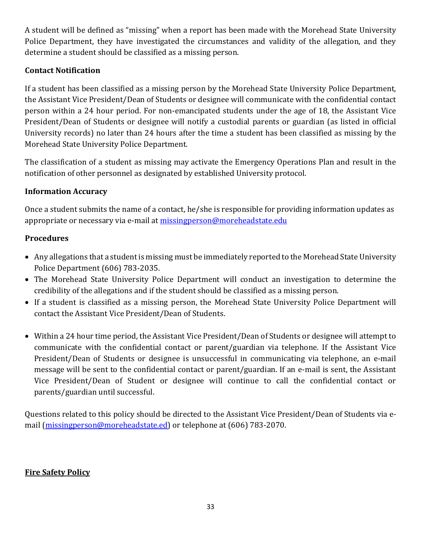A student will be defined as "missing" when a report has been made with the Morehead State University Police Department, they have investigated the circumstances and validity of the allegation, and they determine a student should be classified as a missing person.

## **Contact Notification**

If a student has been classified as a missing person by the Morehead State University Police Department, the Assistant Vice President/Dean of Students or designee will communicate with the confidential contact person within a 24 hour period. For non-emancipated students under the age of 18, the Assistant Vice President/Dean of Students or designee will notify a custodial parents or guardian (as listed in official University records) no later than 24 hours after the time a student has been classified as missing by the Morehead State University Police Department.

The classification of a student as missing may activate the Emergency Operations Plan and result in the notification of other personnel as designated by established University protocol.

## **Information Accuracy**

Once a student submits the name of a contact, he/she is responsible for providing information updates as appropriate or necessary via e-mail at missingperson@moreheadstate.edu

## **Procedures**

- Any allegations that a student is missing must be immediately reported to the Morehead State University Police Department (606) 783-2035.
- The Morehead State University Police Department will conduct an investigation to determine the credibility of the allegations and if the student should be classified as a missing person.
- If a student is classified as a missing person, the Morehead State University Police Department will contact the Assistant Vice President/Dean of Students.
- Within a 24 hour time period, the Assistant Vice President/Dean of Students or designee will attempt to communicate with the confidential contact or parent/guardian via telephone. If the Assistant Vice President/Dean of Students or designee is unsuccessful in communicating via telephone, an e-mail message will be sent to the confidential contact or parent/guardian. If an e-mail is sent, the Assistant Vice President/Dean of Student or designee will continue to call the confidential contact or parents/guardian until successful.

Questions related to this policy should be directed to the Assistant Vice President/Dean of Students via email (missingperson@moreheadstate.ed) or telephone at (606) 783-2070.

## **Fire Safety Policy**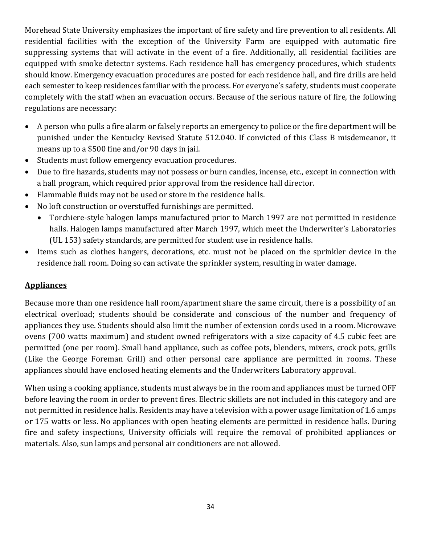Morehead State University emphasizes the important of fire safety and fire prevention to all residents. All residential facilities with the exception of the University Farm are equipped with automatic fire suppressing systems that will activate in the event of a fire. Additionally, all residential facilities are equipped with smoke detector systems. Each residence hall has emergency procedures, which students should know. Emergency evacuation procedures are posted for each residence hall, and fire drills are held each semester to keep residences familiar with the process. For everyone's safety, students must cooperate completely with the staff when an evacuation occurs. Because of the serious nature of fire, the following regulations are necessary:

- A person who pulls a fire alarm or falsely reports an emergency to police or the fire department will be punished under the Kentucky Revised Statute 512.040. If convicted of this Class B misdemeanor, it means up to a  $$500$  fine and/or 90 days in jail.
- Students must follow emergency evacuation procedures.
- Due to fire hazards, students may not possess or burn candles, incense, etc., except in connection with a hall program, which required prior approval from the residence hall director.
- Flammable fluids may not be used or store in the residence halls.
- No loft construction or overstuffed furnishings are permitted.
	- Torchiere-style halogen lamps manufactured prior to March 1997 are not permitted in residence halls. Halogen lamps manufactured after March 1997, which meet the Underwriter's Laboratories (UL 153) safety standards, are permitted for student use in residence halls.
- Items such as clothes hangers, decorations, etc. must not be placed on the sprinkler device in the residence hall room. Doing so can activate the sprinkler system, resulting in water damage.

## **Appliances**

Because more than one residence hall room/apartment share the same circuit, there is a possibility of an electrical overload; students should be considerate and conscious of the number and frequency of appliances they use. Students should also limit the number of extension cords used in a room. Microwave ovens (700 watts maximum) and student owned refrigerators with a size capacity of 4.5 cubic feet are permitted (one per room). Small hand appliance, such as coffee pots, blenders, mixers, crock pots, grills (Like the George Foreman Grill) and other personal care appliance are permitted in rooms. These appliances should have enclosed heating elements and the Underwriters Laboratory approval.

When using a cooking appliance, students must always be in the room and appliances must be turned OFF before leaving the room in order to prevent fires. Electric skillets are not included in this category and are not permitted in residence halls. Residents may have a television with a power usage limitation of 1.6 amps or 175 watts or less. No appliances with open heating elements are permitted in residence halls. During fire and safety inspections, University officials will require the removal of prohibited appliances or materials. Also, sun lamps and personal air conditioners are not allowed.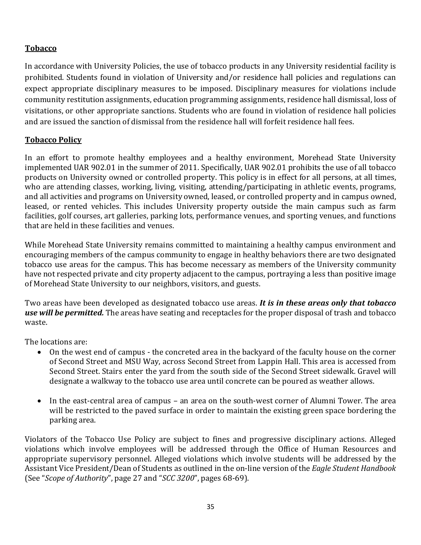## **Tobacco**

In accordance with University Policies, the use of tobacco products in any University residential facility is prohibited. Students found in violation of University and/or residence hall policies and regulations can expect appropriate disciplinary measures to be imposed. Disciplinary measures for violations include community restitution assignments, education programming assignments, residence hall dismissal, loss of visitations, or other appropriate sanctions. Students who are found in violation of residence hall policies and are issued the sanction of dismissal from the residence hall will forfeit residence hall fees.

## **Tobacco Policy**

In an effort to promote healthy employees and a healthy environment, Morehead State University implemented UAR 902.01 in the summer of 2011. Specifically, UAR 902.01 prohibits the use of all tobacco products on University owned or controlled property. This policy is in effect for all persons, at all times, who are attending classes, working, living, visiting, attending/participating in athletic events, programs, and all activities and programs on University owned, leased, or controlled property and in campus owned, leased, or rented vehicles. This includes University property outside the main campus such as farm facilities, golf courses, art galleries, parking lots, performance venues, and sporting venues, and functions that are held in these facilities and venues.

While Morehead State University remains committed to maintaining a healthy campus environment and encouraging members of the campus community to engage in healthy behaviors there are two designated tobacco use areas for the campus. This has become necessary as members of the University community have not respected private and city property adjacent to the campus, portraying a less than positive image of Morehead State University to our neighbors, visitors, and guests.

Two areas have been developed as designated tobacco use areas. *It is in these areas only that tobacco* use will be permitted. The areas have seating and receptacles for the proper disposal of trash and tobacco waste. 

The locations are:

- On the west end of campus the concreted area in the backyard of the faculty house on the corner of Second Street and MSU Way, across Second Street from Lappin Hall. This area is accessed from Second Street. Stairs enter the yard from the south side of the Second Street sidewalk. Gravel will designate a walkway to the tobacco use area until concrete can be poured as weather allows.
- In the east-central area of campus an area on the south-west corner of Alumni Tower. The area will be restricted to the paved surface in order to maintain the existing green space bordering the parking area.

Violators of the Tobacco Use Policy are subject to fines and progressive disciplinary actions. Alleged violations which involve employees will be addressed through the Office of Human Resources and appropriate supervisory personnel. Alleged violations which involve students will be addressed by the Assistant Vice President/Dean of Students as outlined in the on-line version of the *Eagle Student Handbook* (See "*Scope of Authority*", page 27 and "*SCC 3200*", pages 68-69).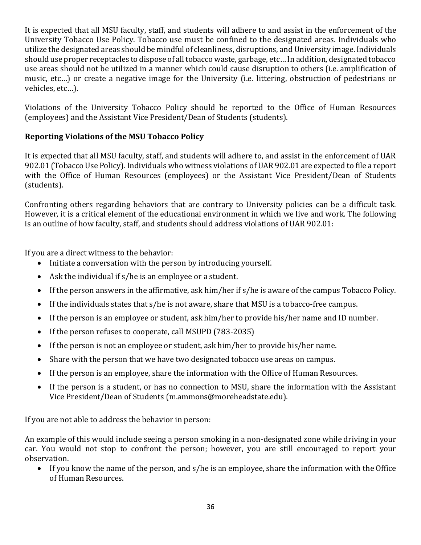It is expected that all MSU faculty, staff, and students will adhere to and assist in the enforcement of the University Tobacco Use Policy. Tobacco use must be confined to the designated areas. Individuals who utilize the designated areas should be mindful of cleanliness, disruptions, and University image. Individuals should use proper receptacles to dispose of all tobacco waste, garbage, etc... In addition, designated tobacco use areas should not be utilized in a manner which could cause disruption to others (i.e. amplification of music, etc...) or create a negative image for the University (i.e. littering, obstruction of pedestrians or vehicles, etc...).

Violations of the University Tobacco Policy should be reported to the Office of Human Resources (employees) and the Assistant Vice President/Dean of Students (students).

## **Reporting Violations of the MSU Tobacco Policy**

It is expected that all MSU faculty, staff, and students will adhere to, and assist in the enforcement of UAR 902.01 (Tobacco Use Policy). Individuals who witness violations of UAR 902.01 are expected to file a report with the Office of Human Resources (employees) or the Assistant Vice President/Dean of Students (students). 

Confronting others regarding behaviors that are contrary to University policies can be a difficult task. However, it is a critical element of the educational environment in which we live and work. The following is an outline of how faculty, staff, and students should address violations of UAR 902.01:

If you are a direct witness to the behavior:

- Initiate a conversation with the person by introducing yourself.
- Ask the individual if  $s/h$ e is an employee or a student.
- If the person answers in the affirmative, ask him/her if  $s/h$ e is aware of the campus Tobacco Policy.
- If the individuals states that  $s/h$ e is not aware, share that MSU is a tobacco-free campus.
- If the person is an employee or student, ask him/her to provide his/her name and ID number.
- If the person refuses to cooperate, call MSUPD  $(783-2035)$
- If the person is not an employee or student, ask him/her to provide his/her name.
- Share with the person that we have two designated tobacco use areas on campus.
- If the person is an employee, share the information with the Office of Human Resources.
- If the person is a student, or has no connection to MSU, share the information with the Assistant Vice President/Dean of Students (m.ammons@moreheadstate.edu).

If you are not able to address the behavior in person:

An example of this would include seeing a person smoking in a non-designated zone while driving in your car. You would not stop to confront the person; however, you are still encouraged to report your observation. 

• If you know the name of the person, and s/he is an employee, share the information with the Office of Human Resources.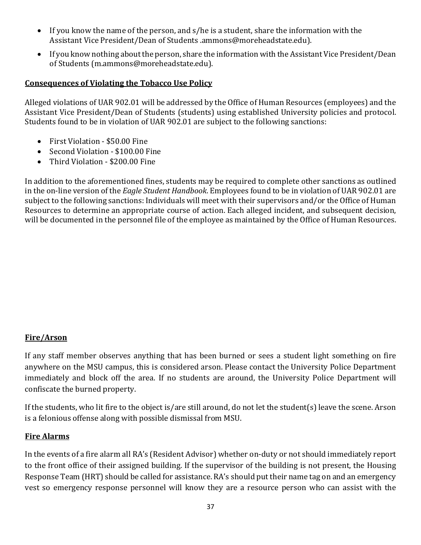- If you know the name of the person, and s/he is a student, share the information with the Assistant Vice President/Dean of Students .ammons@moreheadstate.edu).
- If you know nothing about the person, share the information with the Assistant Vice President/Dean of Students (m.ammons@moreheadstate.edu).

#### **Consequences of Violating the Tobacco Use Policy**

Alleged violations of UAR 902.01 will be addressed by the Office of Human Resources (employees) and the Assistant Vice President/Dean of Students (students) using established University policies and protocol. Students found to be in violation of UAR 902.01 are subject to the following sanctions:

- First Violation \$50.00 Fine
- Second Violation \$100.00 Fine
- Third Violation \$200.00 Fine

In addition to the aforementioned fines, students may be required to complete other sanctions as outlined in the on-line version of the *Eagle Student Handbook*. Employees found to be in violation of UAR 902.01 are subject to the following sanctions: Individuals will meet with their supervisors and/or the Office of Human Resources to determine an appropriate course of action. Each alleged incident, and subsequent decision, will be documented in the personnel file of the employee as maintained by the Office of Human Resources.

## **Fire/Arson**

If any staff member observes anything that has been burned or sees a student light something on fire anywhere on the MSU campus, this is considered arson. Please contact the University Police Department immediately and block off the area. If no students are around, the University Police Department will confiscate the burned property.

If the students, who lit fire to the object is/are still around, do not let the student(s) leave the scene. Arson is a felonious offense along with possible dismissal from MSU.

#### **Fire Alarms**

In the events of a fire alarm all RA's (Resident Advisor) whether on-duty or not should immediately report to the front office of their assigned building. If the supervisor of the building is not present, the Housing Response Team (HRT) should be called for assistance. RA's should put their name tag on and an emergency vest so emergency response personnel will know they are a resource person who can assist with the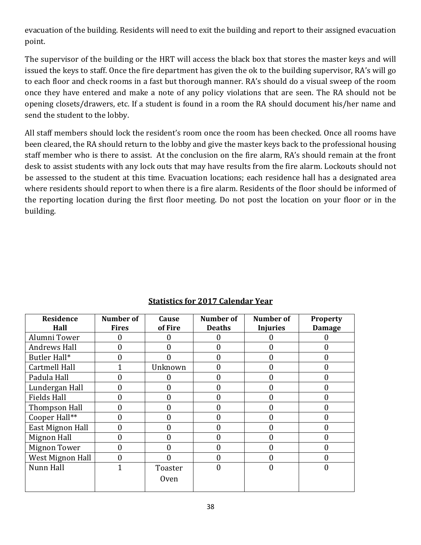evacuation of the building. Residents will need to exit the building and report to their assigned evacuation point. 

The supervisor of the building or the HRT will access the black box that stores the master keys and will issued the keys to staff. Once the fire department has given the ok to the building supervisor, RA's will go to each floor and check rooms in a fast but thorough manner. RA's should do a visual sweep of the room once they have entered and make a note of any policy violations that are seen. The RA should not be opening closets/drawers, etc. If a student is found in a room the RA should document his/her name and send the student to the lobby.

All staff members should lock the resident's room once the room has been checked. Once all rooms have been cleared, the RA should return to the lobby and give the master keys back to the professional housing staff member who is there to assist. At the conclusion on the fire alarm, RA's should remain at the front desk to assist students with any lock outs that may have results from the fire alarm. Lockouts should not be assessed to the student at this time. Evacuation locations; each residence hall has a designated area where residents should report to when there is a fire alarm. Residents of the floor should be informed of the reporting location during the first floor meeting. Do not post the location on your floor or in the building.

| Residence           | <b>Number of</b> | Cause          | Number of     | <b>Number of</b> | <b>Property</b> |
|---------------------|------------------|----------------|---------------|------------------|-----------------|
| Hall                | <b>Fires</b>     | of Fire        | <b>Deaths</b> | <b>Injuries</b>  | <b>Damage</b>   |
| Alumni Tower        |                  |                |               |                  |                 |
| <b>Andrews Hall</b> | 0                | 0              | O             | 0                |                 |
| Butler Hall*        |                  |                |               |                  | 0               |
| Cartmell Hall       |                  | Unknown        | O             | 0                | 0               |
| Padula Hall         |                  | 0              | 0             | 0                | 0               |
| Lundergan Hall      |                  | 0              | 0             | 0                | 0               |
| <b>Fields Hall</b>  | 0                | 0              | 0             | 0                | 0               |
| Thompson Hall       | 0                | $\overline{0}$ | 0             | 0                | 0               |
| Cooper Hall**       | 0                | $\overline{0}$ | 0             | 0                | 0               |
| East Mignon Hall    | 0                | $\overline{0}$ | 0             | 0                | 0               |
| <b>Mignon Hall</b>  | 0                | $\overline{0}$ | $\mathbf{0}$  | $\theta$         | 0               |
| <b>Mignon Tower</b> | 0                | 0              | 0             | 0                | 0               |
| West Mignon Hall    |                  | በ              | 0             | O                | O               |
| Nunn Hall           |                  | Toaster        |               |                  |                 |
|                     |                  | <b>Oven</b>    |               |                  |                 |

## **Statistics for 2017 Calendar Year**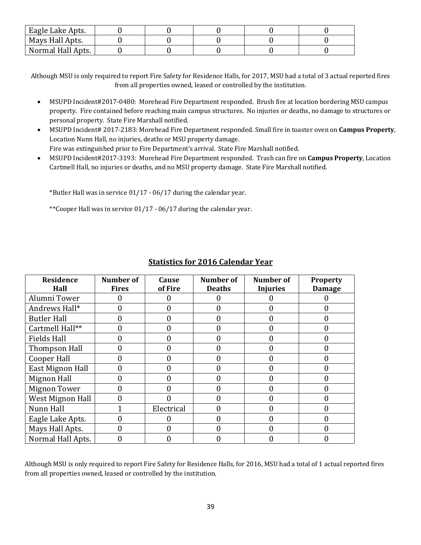| Eagle Lake Apts.  |  |  |  |
|-------------------|--|--|--|
| Mays Hall Apts.   |  |  |  |
| Normal Hall Apts. |  |  |  |

Although MSU is only required to report Fire Safety for Residence Halls, for 2017, MSU had a total of 3 actual reported fires from all properties owned, leased or controlled by the institution.

- MSUPD Incident#2017-0480: Morehead Fire Department responded. Brush fire at location bordering MSU campus property. Fire contained before reaching main campus structures. No injuries or deaths, no damage to structures or personal property. State Fire Marshall notified.
- MSUPD Incident# 2017-2183: Morehead Fire Department responded. Small fire in toaster oven on **Campus Property**, Location Nunn Hall, no injuries, deaths or MSU property damage.

Fire was extinguished prior to Fire Department's arrival. State Fire Marshall notified.

• MSUPD Incident#2017-3193: Morehead Fire Department responded. Trash can fire on **Campus Property**, Location Cartmell Hall, no injuries or deaths, and no MSU property damage. State Fire Marshall notified.

\*Butler Hall was in service  $01/17 - 06/17$  during the calendar year.

\*\*Cooper Hall was in service  $01/17 - 06/17$  during the calendar year.

| Residence<br>Hall   | Number of<br><b>Fires</b> | Cause<br>of Fire | Number of<br><b>Deaths</b> | Number of<br><b>Injuries</b> | <b>Property</b><br><b>Damage</b> |
|---------------------|---------------------------|------------------|----------------------------|------------------------------|----------------------------------|
| Alumni Tower        |                           |                  |                            |                              |                                  |
| Andrews Hall*       | 0                         | 0                |                            |                              |                                  |
| <b>Butler Hall</b>  | 0                         | $\overline{0}$   |                            | 0                            | 0                                |
| Cartmell Hall**     |                           | 0                | 0                          | O                            | 0                                |
| <b>Fields Hall</b>  |                           | 0                |                            |                              |                                  |
| Thompson Hall       |                           | 0                |                            | 0                            | 0                                |
| Cooper Hall         | 0                         | $\overline{0}$   | 0                          | 0                            | 0                                |
| East Mignon Hall    | 0                         | 0                | O                          | 0                            | 0                                |
| Mignon Hall         | $\mathbf{\Omega}$         | 0                | 0                          | O                            | 0                                |
| <b>Mignon Tower</b> |                           | O                |                            |                              |                                  |
| West Mignon Hall    |                           |                  |                            | 0                            | 0                                |
| Nunn Hall           |                           | Electrical       | 0                          | 0                            | 0                                |
| Eagle Lake Apts.    | 0                         |                  |                            |                              | 0                                |
| Mays Hall Apts.     |                           | 0                |                            | N                            | 0                                |
| Normal Hall Apts.   |                           |                  |                            |                              |                                  |

#### **Statistics for 2016 Calendar Year**

Although MSU is only required to report Fire Safety for Residence Halls, for 2016, MSU had a total of 1 actual reported fires from all properties owned, leased or controlled by the institution.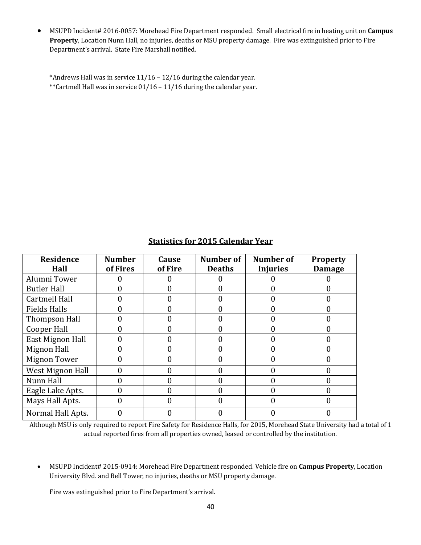• MSUPD Incident# 2016-0057: Morehead Fire Department responded. Small electrical fire in heating unit on **Campus Property**, Location Nunn Hall, no injuries, deaths or MSU property damage. Fire was extinguished prior to Fire Department's arrival. State Fire Marshall notified.

\*Andrews Hall was in service  $11/16 - 12/16$  during the calendar year. \*\*Cartmell Hall was in service  $01/16 - 11/16$  during the calendar year.

| Residence<br>Hall    | <b>Number</b><br>of Fires | Cause<br>of Fire | Number of<br><b>Deaths</b> | Number of<br><b>Injuries</b> | <b>Property</b><br><b>Damage</b> |
|----------------------|---------------------------|------------------|----------------------------|------------------------------|----------------------------------|
| Alumni Tower         |                           |                  |                            |                              |                                  |
| <b>Butler Hall</b>   |                           | 0                |                            |                              |                                  |
| <b>Cartmell Hall</b> |                           |                  |                            |                              |                                  |
| <b>Fields Halls</b>  |                           | 0                |                            |                              |                                  |
| Thompson Hall        |                           |                  |                            |                              |                                  |
| Cooper Hall          |                           | 0                |                            |                              |                                  |
| East Mignon Hall     |                           |                  |                            |                              |                                  |
| Mignon Hall          |                           |                  |                            |                              |                                  |
| <b>Mignon Tower</b>  |                           |                  |                            |                              |                                  |
| West Mignon Hall     |                           |                  |                            |                              |                                  |
| Nunn Hall            |                           | 0                |                            |                              |                                  |
| Eagle Lake Apts.     |                           |                  |                            |                              |                                  |
| Mays Hall Apts.      |                           |                  |                            |                              |                                  |
| Normal Hall Apts.    |                           |                  |                            |                              |                                  |

#### **Statistics for 2015 Calendar Year**

Although MSU is only required to report Fire Safety for Residence Halls, for 2015, Morehead State University had a total of 1 actual reported fires from all properties owned, leased or controlled by the institution.

• MSUPD Incident# 2015-0914: Morehead Fire Department responded. Vehicle fire on **Campus Property**, Location University Blvd. and Bell Tower, no injuries, deaths or MSU property damage.

Fire was extinguished prior to Fire Department's arrival.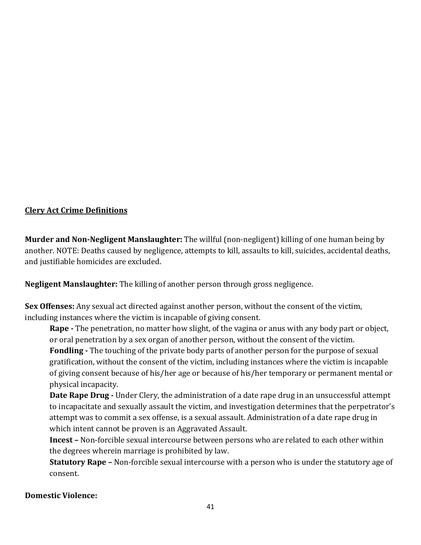## **Clery Act Crime Definitions**

**Murder and Non-Negligent Manslaughter:** The willful (non-negligent) killing of one human being by another. NOTE: Deaths caused by negligence, attempts to kill, assaults to kill, suicides, accidental deaths, and justifiable homicides are excluded.

**Negligent Manslaughter:** The killing of another person through gross negligence.

**Sex Offenses:** Any sexual act directed against another person, without the consent of the victim, including instances where the victim is incapable of giving consent.

**Rape** - The penetration, no matter how slight, of the vagina or anus with any body part or object, or oral penetration by a sex organ of another person, without the consent of the victim.

**Fondling** - The touching of the private body parts of another person for the purpose of sexual gratification, without the consent of the victim, including instances where the victim is incapable of giving consent because of his/her age or because of his/her temporary or permanent mental or physical incapacity.

**Date Rape Drug** - Under Clery, the administration of a date rape drug in an unsuccessful attempt to incapacitate and sexually assault the victim, and investigation determines that the perpetrator's attempt was to commit a sex offense, is a sexual assault. Administration of a date rape drug in which intent cannot be proven is an Aggravated Assault.

**Incest** – Non-forcible sexual intercourse between persons who are related to each other within the degrees wherein marriage is prohibited by law.

**Statutory Rape** – Non-forcible sexual intercourse with a person who is under the statutory age of consent. 

## **Domestic Violence:**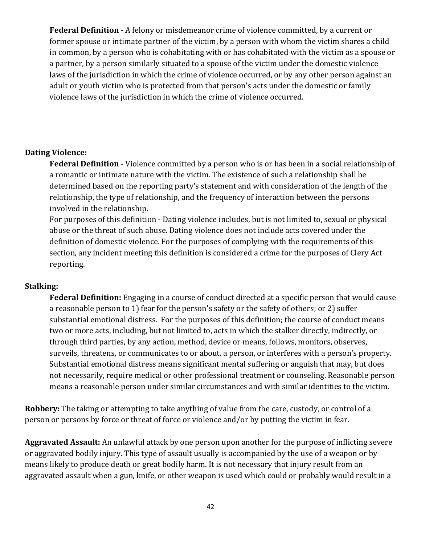**Federal Definition** - A felony or misdemeanor crime of violence committed, by a current or former spouse or intimate partner of the victim, by a person with whom the victim shares a child in common, by a person who is cohabitating with or has cohabitated with the victim as a spouse or a partner, by a person similarly situated to a spouse of the victim under the domestic violence laws of the jurisdiction in which the crime of violence occurred, or by any other person against an adult or youth victim who is protected from that person's acts under the domestic or family violence laws of the jurisdiction in which the crime of violence occurred.

#### **Dating Violence:**

**Federal Definition** - Violence committed by a person who is or has been in a social relationship of a romantic or intimate nature with the victim. The existence of such a relationship shall be determined based on the reporting party's statement and with consideration of the length of the relationship, the type of relationship, and the frequency of interaction between the persons involved in the relationship.

For purposes of this definition - Dating violence includes, but is not limited to, sexual or physical abuse or the threat of such abuse. Dating violence does not include acts covered under the definition of domestic violence. For the purposes of complying with the requirements of this section, any incident meeting this definition is considered a crime for the purposes of Clery Act reporting. 

#### **Stalking:**

**Federal Definition:** Engaging in a course of conduct directed at a specific person that would cause a reasonable person to 1) fear for the person's safety or the safety of others; or 2) suffer substantial emotional distress. For the purposes of this definition; the course of conduct means two or more acts, including, but not limited to, acts in which the stalker directly, indirectly, or through third parties, by any action, method, device or means, follows, monitors, observes, surveils, threatens, or communicates to or about, a person, or interferes with a person's property. Substantial emotional distress means significant mental suffering or anguish that may, but does not necessarily, require medical or other professional treatment or counseling. Reasonable person means a reasonable person under similar circumstances and with similar identities to the victim.

**Robbery:** The taking or attempting to take anything of value from the care, custody, or control of a person or persons by force or threat of force or violence and/or by putting the victim in fear.

Aggravated Assault: An unlawful attack by one person upon another for the purpose of inflicting severe or aggravated bodily injury. This type of assault usually is accompanied by the use of a weapon or by means likely to produce death or great bodily harm. It is not necessary that injury result from an aggravated assault when a gun, knife, or other weapon is used which could or probably would result in a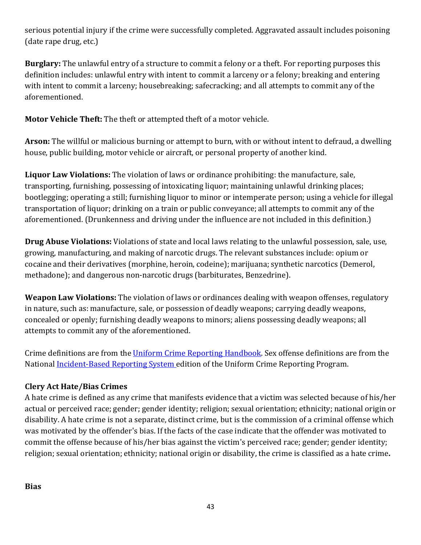serious potential injury if the crime were successfully completed. Aggravated assault includes poisoning (date rape drug, etc.)

**Burglary:** The unlawful entry of a structure to commit a felony or a theft. For reporting purposes this definition includes: unlawful entry with intent to commit a larceny or a felony; breaking and entering with intent to commit a larceny; housebreaking; safecracking; and all attempts to commit any of the aforementioned.

**Motor Vehicle Theft:** The theft or attempted theft of a motor vehicle.

**Arson:** The willful or malicious burning or attempt to burn, with or without intent to defraud, a dwelling house, public building, motor vehicle or aircraft, or personal property of another kind.

**Liquor Law Violations:** The violation of laws or ordinance prohibiting: the manufacture, sale, transporting, furnishing, possessing of intoxicating liquor; maintaining unlawful drinking places; bootlegging; operating a still; furnishing liquor to minor or intemperate person; using a vehicle for illegal transportation of liquor; drinking on a train or public conveyance; all attempts to commit any of the aforementioned. (Drunkenness and driving under the influence are not included in this definition.)

**Drug Abuse Violations:** Violations of state and local laws relating to the unlawful possession, sale, use, growing, manufacturing, and making of narcotic drugs. The relevant substances include: opium or cocaine and their derivatives (morphine, heroin, codeine); marijuana; synthetic narcotics (Demerol, methadone); and dangerous non-narcotic drugs (barbiturates, Benzedrine).

**Weapon Law Violations:** The violation of laws or ordinances dealing with weapon offenses, regulatory in nature, such as: manufacture, sale, or possession of deadly weapons; carrying deadly weapons, concealed or openly; furnishing deadly weapons to minors; aliens possessing deadly weapons; all attempts to commit any of the aforementioned.

Crime definitions are from the Uniform Crime Reporting Handbook. Sex offense definitions are from the National Incident-Based Reporting System edition of the Uniform Crime Reporting Program.

## **Clery Act Hate/Bias Crimes**

A hate crime is defined as any crime that manifests evidence that a victim was selected because of his/her actual or perceived race; gender; gender identity; religion; sexual orientation; ethnicity; national origin or disability. A hate crime is not a separate, distinct crime, but is the commission of a criminal offense which was motivated by the offender's bias. If the facts of the case indicate that the offender was motivated to commit the offense because of his/her bias against the victim's perceived race; gender; gender identity; religion; sexual orientation; ethnicity; national origin or disability, the crime is classified as a hate crime.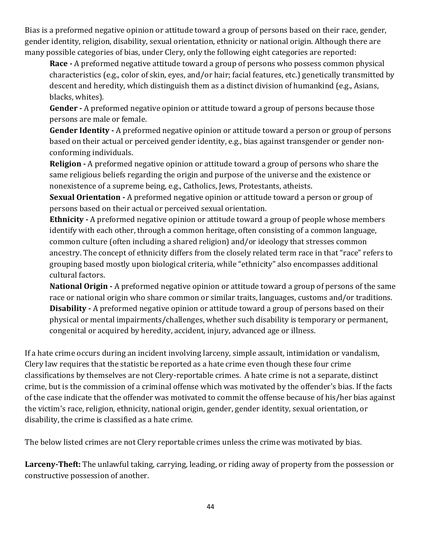Bias is a preformed negative opinion or attitude toward a group of persons based on their race, gender, gender identity, religion, disability, sexual orientation, ethnicity or national origin. Although there are many possible categories of bias, under Clery, only the following eight categories are reported:

**Race** - A preformed negative attitude toward a group of persons who possess common physical characteristics (e.g., color of skin, eyes, and/or hair; facial features, etc.) genetically transmitted by descent and heredity, which distinguish them as a distinct division of humankind (e.g., Asians, blacks, whites).

**Gender** - A preformed negative opinion or attitude toward a group of persons because those persons are male or female.

**Gender Identity** - A preformed negative opinion or attitude toward a person or group of persons based on their actual or perceived gender identity, e.g., bias against transgender or gender nonconforming individuals.

**Religion** - A preformed negative opinion or attitude toward a group of persons who share the same religious beliefs regarding the origin and purpose of the universe and the existence or nonexistence of a supreme being, e.g., Catholics, Jews, Protestants, atheists.

**Sexual Orientation** - A preformed negative opinion or attitude toward a person or group of persons based on their actual or perceived sexual orientation.

**Ethnicity** - A preformed negative opinion or attitude toward a group of people whose members identify with each other, through a common heritage, often consisting of a common language, common culture (often including a shared religion) and/or ideology that stresses common ancestry. The concept of ethnicity differs from the closely related term race in that "race" refers to grouping based mostly upon biological criteria, while "ethnicity" also encompasses additional cultural factors.

**National Origin** - A preformed negative opinion or attitude toward a group of persons of the same race or national origin who share common or similar traits, languages, customs and/or traditions. **Disability** - A preformed negative opinion or attitude toward a group of persons based on their physical or mental impairments/challenges, whether such disability is temporary or permanent, congenital or acquired by heredity, accident, injury, advanced age or illness.

If a hate crime occurs during an incident involving larceny, simple assault, intimidation or vandalism, Clery law requires that the statistic be reported as a hate crime even though these four crime classifications by themselves are not Clery-reportable crimes. A hate crime is not a separate, distinct crime, but is the commission of a criminal offense which was motivated by the offender's bias. If the facts of the case indicate that the offender was motivated to commit the offense because of his/her bias against the victim's race, religion, ethnicity, national origin, gender, gender identity, sexual orientation, or disability, the crime is classified as a hate crime.

The below listed crimes are not Clery reportable crimes unless the crime was motivated by bias.

Larceny-Theft: The unlawful taking, carrying, leading, or riding away of property from the possession or constructive possession of another.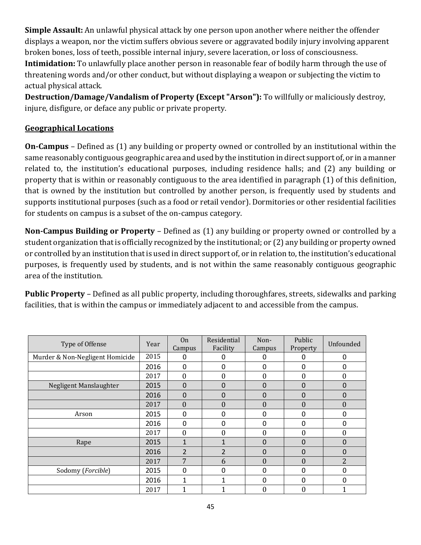**Simple Assault:** An unlawful physical attack by one person upon another where neither the offender displays a weapon, nor the victim suffers obvious severe or aggravated bodily injury involving apparent broken bones, loss of teeth, possible internal injury, severe laceration, or loss of consciousness. **Intimidation:** To unlawfully place another person in reasonable fear of bodily harm through the use of threatening words and/or other conduct, but without displaying a weapon or subjecting the victim to actual physical attack.

**Destruction/Damage/Vandalism of Property (Except "Arson"):** To willfully or maliciously destroy, injure, disfigure, or deface any public or private property.

#### **Geographical Locations**

**On-Campus** – Defined as (1) any building or property owned or controlled by an institutional within the same reasonably contiguous geographic area and used by the institution in direct support of, or in a manner related to, the institution's educational purposes, including residence halls; and (2) any building or property that is within or reasonably contiguous to the area identified in paragraph (1) of this definition, that is owned by the institution but controlled by another person, is frequently used by students and supports institutional purposes (such as a food or retail vendor). Dormitories or other residential facilities for students on campus is a subset of the on-campus category.

**Non-Campus Building or Property** – Defined as (1) any building or property owned or controlled by a student organization that is officially recognized by the institutional; or (2) any building or property owned or controlled by an institution that is used in direct support of, or in relation to, the institution's educational purposes, is frequently used by students, and is not within the same reasonably contiguous geographic area of the institution.

**Public Property** – Defined as all public property, including thoroughfares, streets, sidewalks and parking facilities, that is within the campus or immediately adjacent to and accessible from the campus.

| Type of Offense                 | Year | 0 <sub>n</sub><br>Campus | Residential<br>Facility | Non-<br>Campus   | Public<br>Property | Unfounded        |
|---------------------------------|------|--------------------------|-------------------------|------------------|--------------------|------------------|
| Murder & Non-Negligent Homicide | 2015 | 0                        | O                       | 0                | O                  | 0                |
|                                 | 2016 | 0                        | 0                       | $\Omega$         | 0                  | 0                |
|                                 | 2017 | $\theta$                 | 0                       | $\boldsymbol{0}$ | 0                  | $\boldsymbol{0}$ |
| Negligent Manslaughter          | 2015 | $\Omega$                 | 0                       | $\Omega$         | 0                  | $\mathbf{0}$     |
|                                 | 2016 | $\mathbf 0$              | 0                       | $\Omega$         | 0                  | 0                |
|                                 | 2017 | $\Omega$                 | 0                       | $\theta$         | 0                  | $\theta$         |
| Arson                           | 2015 | 0                        | 0                       | $\Omega$         | 0                  | 0                |
|                                 | 2016 | 0                        | 0                       | $\Omega$         | 0                  | 0                |
|                                 | 2017 | $\boldsymbol{0}$         | 0                       | $\mathbf{0}$     | 0                  | 0                |
| Rape                            | 2015 | $\mathbf{1}$             |                         | $\Omega$         | 0                  | 0                |
|                                 | 2016 | $\overline{2}$           | $\mathfrak{p}$          | $\Omega$         | 0                  | 0                |
|                                 | 2017 | 7                        | 6                       | $\theta$         | $\theta$           | 2                |
| Sodomy (Forcible)               | 2015 | $\Omega$                 | 0                       | $\mathbf{0}$     | 0                  | 0                |
|                                 | 2016 | 1                        |                         | $\Omega$         | ŋ                  | 0                |
|                                 | 2017 |                          |                         | $\boldsymbol{0}$ | 0                  |                  |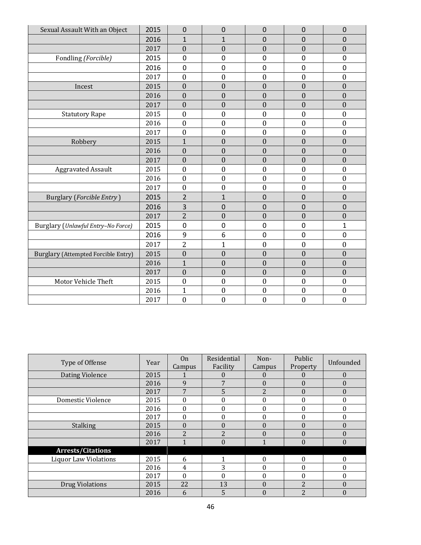| Sexual Assault With an Object              | 2015 | $\mathbf 0$      | 0                | 0                | $\overline{0}$   | $\mathbf 0$      |
|--------------------------------------------|------|------------------|------------------|------------------|------------------|------------------|
|                                            | 2016 | $\mathbf{1}$     | $\mathbf{1}$     | 0                | 0                | 0                |
|                                            | 2017 | $\mathbf{0}$     | $\overline{0}$   | $\mathbf{0}$     | $\overline{0}$   | $\boldsymbol{0}$ |
| Fondling (Forcible)                        | 2015 | $\mathbf 0$      | 0                | 0                | 0                | 0                |
|                                            | 2016 | $\mathbf 0$      | 0                | $\mathbf 0$      | 0                | 0                |
|                                            | 2017 | $\mathbf{0}$     | $\boldsymbol{0}$ | $\boldsymbol{0}$ | $\boldsymbol{0}$ | $\boldsymbol{0}$ |
| Incest                                     | 2015 | $\overline{0}$   | $\overline{0}$   | $\mathbf{0}$     | $\overline{0}$   | $\mathbf{0}$     |
|                                            | 2016 | $\mathbf{0}$     | $\overline{0}$   | $\overline{0}$   | $\overline{0}$   | $\boldsymbol{0}$ |
|                                            | 2017 | $\mathbf{0}$     | $\overline{0}$   | $\boldsymbol{0}$ | $\boldsymbol{0}$ | $\boldsymbol{0}$ |
| <b>Statutory Rape</b>                      | 2015 | $\boldsymbol{0}$ | $\boldsymbol{0}$ | $\boldsymbol{0}$ | $\mathbf{0}$     | $\boldsymbol{0}$ |
|                                            | 2016 | $\mathbf{0}$     | $\boldsymbol{0}$ | $\mathbf{0}$     | $\mathbf{0}$     | $\boldsymbol{0}$ |
|                                            | 2017 | $\mathbf{0}$     | $\boldsymbol{0}$ | $\boldsymbol{0}$ | $\mathbf{0}$     | $\boldsymbol{0}$ |
| Robbery                                    | 2015 | $\mathbf{1}$     | $\boldsymbol{0}$ | $\mathbf{0}$     | $\boldsymbol{0}$ | $\boldsymbol{0}$ |
|                                            | 2016 | $\mathbf{0}$     | $\overline{0}$   | $\overline{0}$   | $\overline{0}$   | $\boldsymbol{0}$ |
|                                            | 2017 | $\mathbf{0}$     | $\overline{0}$   | $\overline{0}$   | $\overline{0}$   | $\boldsymbol{0}$ |
| <b>Aggravated Assault</b>                  | 2015 | $\mathbf{0}$     | $\overline{0}$   | $\boldsymbol{0}$ | $\mathbf{0}$     | $\boldsymbol{0}$ |
|                                            | 2016 | $\mathbf{0}$     | $\boldsymbol{0}$ | $\boldsymbol{0}$ | $\mathbf{0}$     | $\boldsymbol{0}$ |
|                                            | 2017 | $\mathbf{0}$     | $\mathbf{0}$     | $\boldsymbol{0}$ | $\mathbf{0}$     | $\boldsymbol{0}$ |
| Burglary (Forcible Entry)                  | 2015 | $\overline{2}$   | $\mathbf{1}$     | $\mathbf 0$      | $\mathbf 0$      | $\mathbf 0$      |
|                                            | 2016 | $\overline{3}$   | $\overline{0}$   | $\overline{0}$   | $\overline{0}$   | $\overline{0}$   |
|                                            | 2017 | $\overline{2}$   | $\boldsymbol{0}$ | $\boldsymbol{0}$ | $\boldsymbol{0}$ | $\boldsymbol{0}$ |
| Burglary (Unlawful Entry-No Force)         | 2015 | $\mathbf 0$      | 0                | $\pmb{0}$        | 0                | $\mathbf{1}$     |
|                                            | 2016 | 9                | 6                | $\mathbf 0$      | $\mathbf 0$      | 0                |
|                                            | 2017 | $\overline{2}$   | $\overline{1}$   | $\boldsymbol{0}$ | $\boldsymbol{0}$ | $\boldsymbol{0}$ |
| <b>Burglary (Attempted Forcible Entry)</b> | 2015 | $\mathbf{0}$     | $\overline{0}$   | $\boldsymbol{0}$ | $\overline{0}$   | $\boldsymbol{0}$ |
|                                            | 2016 | $\mathbf{1}$     | $\overline{0}$   | $\overline{0}$   | $\boldsymbol{0}$ | $\boldsymbol{0}$ |
|                                            | 2017 | $\mathbf{0}$     | $\mathbf{0}$     | $\boldsymbol{0}$ | $\mathbf{0}$     | $\boldsymbol{0}$ |
| Motor Vehicle Theft                        | 2015 | $\mathbf{0}$     | $\overline{0}$   | $\mathbf{0}$     | $\mathbf{0}$     | $\boldsymbol{0}$ |
|                                            | 2016 | $\overline{1}$   | $\mathbf{0}$     | $\boldsymbol{0}$ | $\boldsymbol{0}$ | $\boldsymbol{0}$ |
|                                            | 2017 | $\mathbf{0}$     | $\boldsymbol{0}$ | $\boldsymbol{0}$ | $\boldsymbol{0}$ | $\boldsymbol{0}$ |

| Type of Offense              | Year | <b>On</b><br>Campus | Residential<br>Facility | Non-<br>Campus | Public<br>Property | Unfounded      |
|------------------------------|------|---------------------|-------------------------|----------------|--------------------|----------------|
| Dating Violence              | 2015 |                     | $\mathbf{U}$            | $\mathbf{0}$   |                    | $\theta$       |
|                              | 2016 | 9                   | 7                       | $\theta$       | $\theta$           | $\overline{0}$ |
|                              | 2017 | 7                   | 5                       | $\overline{2}$ | $\Omega$           | $\theta$       |
| Domestic Violence            | 2015 | $\theta$            | 0                       | $\theta$       | 0                  | $\theta$       |
|                              | 2016 | $\theta$            | 0                       | $\theta$       | 0                  | 0              |
|                              | 2017 | $\mathbf{0}$        | $\theta$                | $\theta$       | 0                  | 0              |
| <b>Stalking</b>              | 2015 | $\theta$            | $\theta$                | $\theta$       | $\Omega$           | $\theta$       |
|                              | 2016 | $\overline{2}$      | $\overline{2}$          | $\theta$       | $\Omega$           | $\theta$       |
|                              | 2017 | 1                   | $\Omega$                | 1              | $\theta$           | $\mathbf{0}$   |
| <b>Arrests/Citations</b>     |      |                     |                         |                |                    |                |
| <b>Liquor Law Violations</b> | 2015 | 6                   |                         | $\theta$       | $\theta$           | 0              |
|                              | 2016 | 4                   | 3                       | $\theta$       | 0                  | 0              |
|                              | 2017 | $\Omega$            | 0                       | $\theta$       | 0                  | $\theta$       |
| <b>Drug Violations</b>       | 2015 | 22                  | 13                      | $\theta$       | $\overline{2}$     | $\theta$       |
|                              | 2016 | 6                   | 5                       | $\theta$       | C                  | $\theta$       |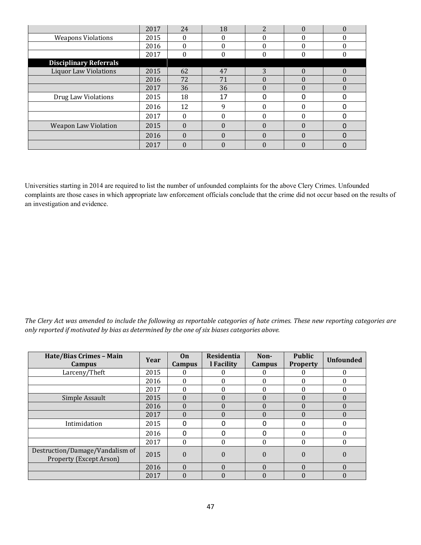|                               | 2017 | 24       | 18       | 2        |   | 0        |
|-------------------------------|------|----------|----------|----------|---|----------|
| <b>Weapons Violations</b>     | 2015 | 0        |          | 0        |   | 0        |
|                               | 2016 | $\Omega$ |          | $\Omega$ |   |          |
|                               | 2017 | 0        |          | 0        |   | 0        |
| <b>Disciplinary Referrals</b> |      |          |          |          |   |          |
| <b>Liquor Law Violations</b>  | 2015 | 62       | 47       | 3        | 0 | $\Omega$ |
|                               | 2016 | 72       | 71       | $\Omega$ |   | $\theta$ |
|                               | 2017 | 36       | 36       | $\Omega$ |   | $\Omega$ |
| Drug Law Violations           | 2015 | 18       | 17       | 0        |   | 0        |
|                               | 2016 | 12       | q        | $\Omega$ |   |          |
|                               | 2017 | 0        |          | 0        |   |          |
| <b>Weapon Law Violation</b>   | 2015 | $\Omega$ |          | $\Omega$ |   | O        |
|                               | 2016 | $\Omega$ | $\Omega$ | $\Omega$ |   |          |
|                               | 2017 | $\theta$ |          | 0        |   |          |

Universities starting in 2014 are required to list the number of unfounded complaints for the above Clery Crimes. Unfounded complaints are those cases in which appropriate law enforcement officials conclude that the crime did not occur based on the results of an investigation and evidence.

The Clery Act was amended to include the following as reportable categories of hate crimes. These new reporting categories are only reported *if* motivated by bias as determined by the one of six biases categories above.

| Hate/Bias Crimes - Main<br>Campus                                 | Year | On<br><b>Campus</b> | <b>Residentia</b><br>l Facility | Non-<br><b>Campus</b> | <b>Public</b><br><b>Property</b> | <b>Unfounded</b> |
|-------------------------------------------------------------------|------|---------------------|---------------------------------|-----------------------|----------------------------------|------------------|
| Larceny/Theft                                                     | 2015 | 0                   |                                 | 0                     |                                  | 0                |
|                                                                   | 2016 | $\theta$            |                                 | $\theta$              | 0                                | 0                |
|                                                                   | 2017 | $\Omega$            |                                 | $\theta$              |                                  |                  |
| Simple Assault                                                    | 2015 | $\Omega$            |                                 | $\theta$              | $\Omega$                         | $\theta$         |
|                                                                   | 2016 | $\Omega$            |                                 | $\Omega$              | $\Omega$                         |                  |
|                                                                   | 2017 | $\Omega$            |                                 | $\Omega$              | $\Omega$                         | $\Omega$         |
| Intimidation                                                      | 2015 | $\Omega$            |                                 | O                     |                                  |                  |
|                                                                   | 2016 | $\Omega$            |                                 | 0                     |                                  | 0                |
|                                                                   | 2017 | $\Omega$            |                                 | $\theta$              | 0                                | $\theta$         |
| Destruction/Damage/Vandalism of<br><b>Property (Except Arson)</b> | 2015 | $\theta$            | $\Omega$                        | $\theta$              | $\Omega$                         | $\Omega$         |
|                                                                   | 2016 | $\theta$            | 0                               | $\theta$              | $\Omega$                         | $\Omega$         |
|                                                                   | 2017 | $\theta$            |                                 | $\theta$              |                                  |                  |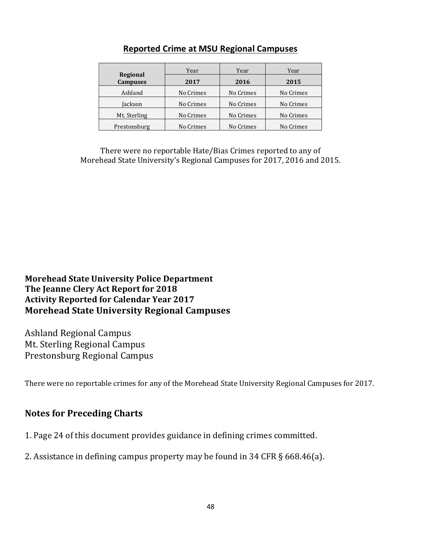|                             | Year      | Year      | Year      |  |  |
|-----------------------------|-----------|-----------|-----------|--|--|
| Regional<br><b>Campuses</b> | 2017      | 2016      | 2015      |  |  |
| Ashland                     | No Crimes | No Crimes | No Crimes |  |  |
| Iackson                     | No Crimes | No Crimes | No Crimes |  |  |
| Mt. Sterling                | No Crimes | No Crimes | No Crimes |  |  |
| Prestonsburg                | No Crimes | No Crimes | No Crimes |  |  |

## **Reported Crime at MSU Regional Campuses**

There were no reportable Hate/Bias Crimes reported to any of Morehead State University's Regional Campuses for 2017, 2016 and 2015.

**Morehead State University Police Department** The Jeanne Clery Act Report for 2018 **Activity Reported for Calendar Year 2017 Morehead State University Regional Campuses** 

Ashland Regional Campus Mt. Sterling Regional Campus Prestonsburg Regional Campus

There were no reportable crimes for any of the Morehead State University Regional Campuses for 2017.

## **Notes for Preceding Charts**

- 1. Page 24 of this document provides guidance in defining crimes committed.
- 2. Assistance in defining campus property may be found in  $34$  CFR  $\S$  668.46(a).